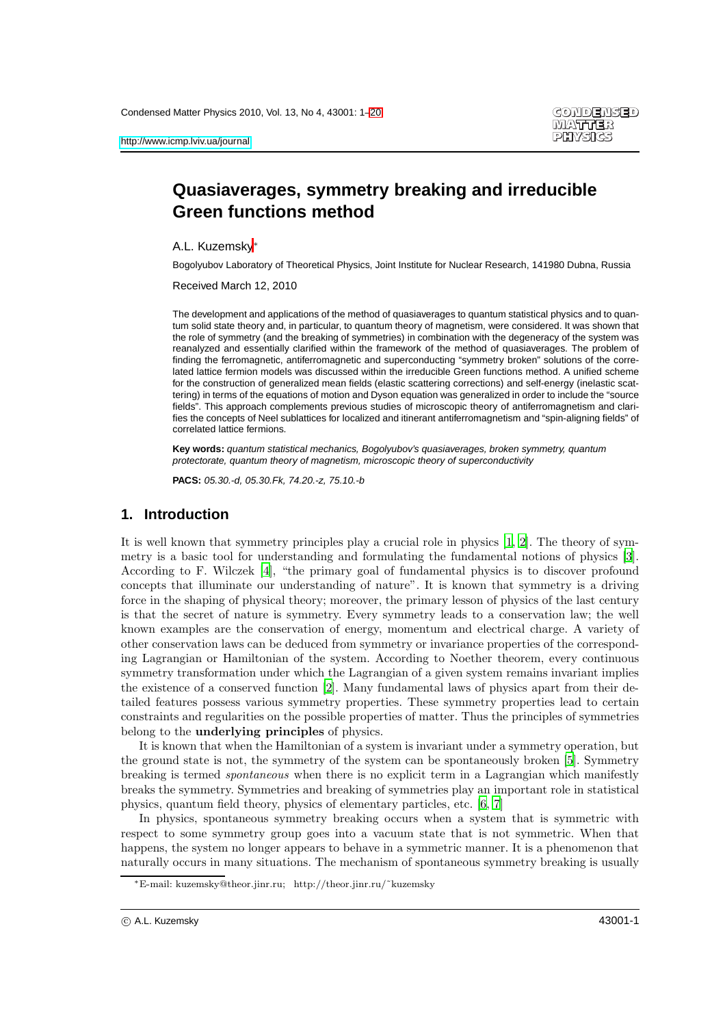# **Quasiaverages, symmetry breaking and irreducible Green functions method**

A.L. Kuzemsky<sup>∗</sup>

Bogolyubov Laboratory of Theoretical Physics, Joint Institute for Nuclear Research, 141980 Dubna, Russia

Received March 12, 2010

The development and applications of the method of quasiaverages to quantum statistical physics and to quantum solid state theory and, in particular, to quantum theory of magnetism, were considered. It was shown that the role of symmetry (and the breaking of symmetries) in combination with the degeneracy of the system was reanalyzed and essentially clarified within the framework of the method of quasiaverages. The problem of finding the ferromagnetic, antiferromagnetic and superconducting "symmetry broken" solutions of the correlated lattice fermion models was discussed within the irreducible Green functions method. A unified scheme for the construction of generalized mean fields (elastic scattering corrections) and self-energy (inelastic scattering) in terms of the equations of motion and Dyson equation was generalized in order to include the "source fields". This approach complements previous studies of microscopic theory of antiferromagnetism and clarifies the concepts of Neel sublattices for localized and itinerant antiferromagnetism and "spin-aligning fields" of correlated lattice fermions.

**Key words:** quantum statistical mechanics, Bogolyubov's quasiaverages, broken symmetry, quantum protectorate, quantum theory of magnetism, microscopic theory of superconductivity

**PACS:** 05.30.-d, 05.30.Fk, 74.20.-z, 75.10.-b

## **1. Introduction**

It is well known that symmetry principles play a crucial role in physics [\[1](#page-17-1), [2\]](#page-17-2). The theory of symmetry is a basic tool for understanding and formulating the fundamental notions of physics [\[3\]](#page-17-3). According to F. Wilczek [\[4](#page-17-4)], "the primary goal of fundamental physics is to discover profound concepts that illuminate our understanding of nature". It is known that symmetry is a driving force in the shaping of physical theory; moreover, the primary lesson of physics of the last century is that the secret of nature is symmetry. Every symmetry leads to a conservation law; the well known examples are the conservation of energy, momentum and electrical charge. A variety of other conservation laws can be deduced from symmetry or invariance properties of the corresponding Lagrangian or Hamiltonian of the system. According to Noether theorem, every continuous symmetry transformation under which the Lagrangian of a given system remains invariant implies the existence of a conserved function [\[2\]](#page-17-2). Many fundamental laws of physics apart from their detailed features possess various symmetry properties. These symmetry properties lead to certain constraints and regularities on the possible properties of matter. Thus the principles of symmetries belong to the underlying principles of physics.

It is known that when the Hamiltonian of a system is invariant under a symmetry operation, but the ground state is not, the symmetry of the system can be spontaneously broken [\[5\]](#page-17-5). Symmetry breaking is termed spontaneous when there is no explicit term in a Lagrangian which manifestly breaks the symmetry. Symmetries and breaking of symmetries play an important role in statistical physics, quantum field theory, physics of elementary particles, etc. [\[6](#page-17-6), [7](#page-17-7)]

In physics, spontaneous symmetry breaking occurs when a system that is symmetric with respect to some symmetry group goes into a vacuum state that is not symmetric. When that happens, the system no longer appears to behave in a symmetric manner. It is a phenomenon that naturally occurs in many situations. The mechanism of spontaneous symmetry breaking is usually

<sup>∗</sup>E-mail: kuzemsky@theor.jinr.ru; http://theor.jinr.ru/˜kuzemsky

c A.L. Kuzemsky 43001-1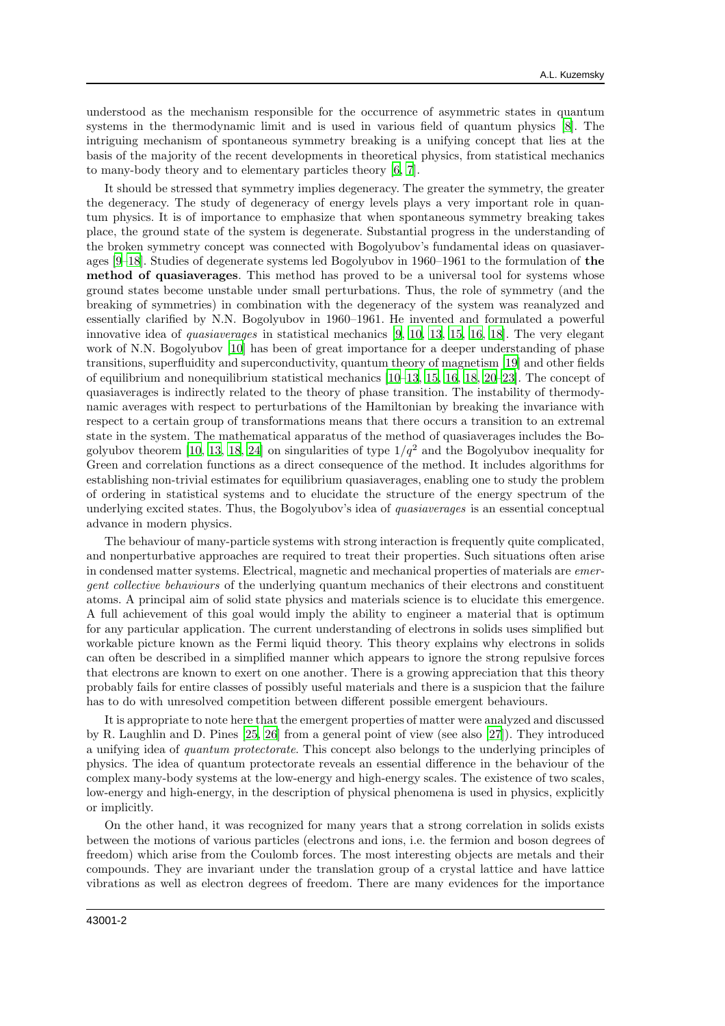understood as the mechanism responsible for the occurrence of asymmetric states in quantum systems in the thermodynamic limit and is used in various field of quantum physics [\[8\]](#page-17-8). The intriguing mechanism of spontaneous symmetry breaking is a unifying concept that lies at the basis of the majority of the recent developments in theoretical physics, from statistical mechanics to many-body theory and to elementary particles theory [\[6](#page-17-6), [7](#page-17-7)].

It should be stressed that symmetry implies degeneracy. The greater the symmetry, the greater the degeneracy. The study of degeneracy of energy levels plays a very important role in quantum physics. It is of importance to emphasize that when spontaneous symmetry breaking takes place, the ground state of the system is degenerate. Substantial progress in the understanding of the broken symmetry concept was connected with Bogolyubov's fundamental ideas on quasiaverages [\[9](#page-17-9)[–18\]](#page-18-0). Studies of degenerate systems led Bogolyubov in 1960–1961 to the formulation of the method of quasiaverages. This method has proved to be a universal tool for systems whose ground states become unstable under small perturbations. Thus, the role of symmetry (and the breaking of symmetries) in combination with the degeneracy of the system was reanalyzed and essentially clarified by N.N. Bogolyubov in 1960–1961. He invented and formulated a powerful innovative idea of quasiaverages in statistical mechanics [\[9,](#page-17-9) [10](#page-18-1), [13,](#page-18-2) [15](#page-18-3), [16,](#page-18-4) [18\]](#page-18-0). The very elegant work of N.N. Bogolyubov [\[10](#page-18-1)] has been of great importance for a deeper understanding of phase transitions, superfluidity and superconductivity, quantum theory of magnetism [\[19\]](#page-18-5) and other fields of equilibrium and nonequilibrium statistical mechanics [\[10](#page-18-1)[–13,](#page-18-2) [15,](#page-18-3) [16,](#page-18-4) [18,](#page-18-0) [20](#page-18-6)[–23\]](#page-18-7). The concept of quasiaverages is indirectly related to the theory of phase transition. The instability of thermodynamic averages with respect to perturbations of the Hamiltonian by breaking the invariance with respect to a certain group of transformations means that there occurs a transition to an extremal state in the system. The mathematical apparatus of the method of quasiaverages includes the Bo-golyubov theorem [\[10](#page-18-1), [13,](#page-18-2) [18,](#page-18-0) [24\]](#page-18-8) on singularities of type  $1/q^2$  and the Bogolyubov inequality for Green and correlation functions as a direct consequence of the method. It includes algorithms for establishing non-trivial estimates for equilibrium quasiaverages, enabling one to study the problem of ordering in statistical systems and to elucidate the structure of the energy spectrum of the underlying excited states. Thus, the Bogolyubov's idea of quasiaverages is an essential conceptual advance in modern physics.

The behaviour of many-particle systems with strong interaction is frequently quite complicated, and nonperturbative approaches are required to treat their properties. Such situations often arise in condensed matter systems. Electrical, magnetic and mechanical properties of materials are emergent collective behaviours of the underlying quantum mechanics of their electrons and constituent atoms. A principal aim of solid state physics and materials science is to elucidate this emergence. A full achievement of this goal would imply the ability to engineer a material that is optimum for any particular application. The current understanding of electrons in solids uses simplified but workable picture known as the Fermi liquid theory. This theory explains why electrons in solids can often be described in a simplified manner which appears to ignore the strong repulsive forces that electrons are known to exert on one another. There is a growing appreciation that this theory probably fails for entire classes of possibly useful materials and there is a suspicion that the failure has to do with unresolved competition between different possible emergent behaviours.

It is appropriate to note here that the emergent properties of matter were analyzed and discussed by R. Laughlin and D. Pines [\[25,](#page-18-9) [26\]](#page-18-10) from a general point of view (see also [\[27](#page-18-11)]). They introduced a unifying idea of quantum protectorate. This concept also belongs to the underlying principles of physics. The idea of quantum protectorate reveals an essential difference in the behaviour of the complex many-body systems at the low-energy and high-energy scales. The existence of two scales, low-energy and high-energy, in the description of physical phenomena is used in physics, explicitly or implicitly.

On the other hand, it was recognized for many years that a strong correlation in solids exists between the motions of various particles (electrons and ions, i.e. the fermion and boson degrees of freedom) which arise from the Coulomb forces. The most interesting objects are metals and their compounds. They are invariant under the translation group of a crystal lattice and have lattice vibrations as well as electron degrees of freedom. There are many evidences for the importance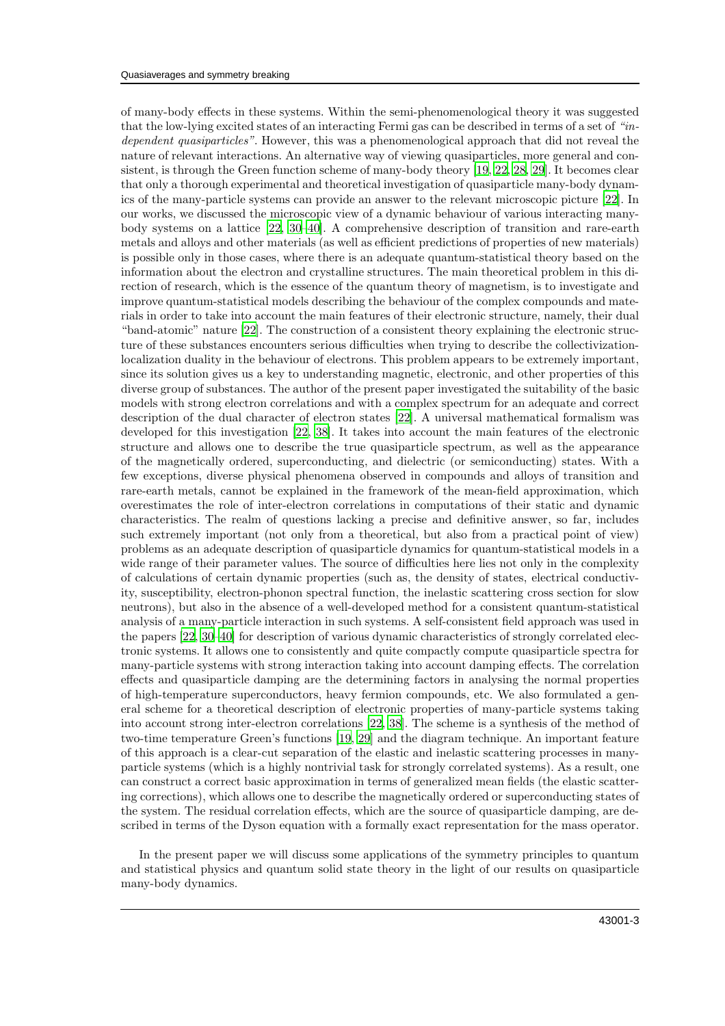of many-body effects in these systems. Within the semi-phenomenological theory it was suggested that the low-lying excited states of an interacting Fermi gas can be described in terms of a set of "independent quasiparticles". However, this was a phenomenological approach that did not reveal the nature of relevant interactions. An alternative way of viewing quasiparticles, more general and consistent, is through the Green function scheme of many-body theory [\[19,](#page-18-5) [22](#page-18-12), [28,](#page-18-13) [29\]](#page-18-14). It becomes clear that only a thorough experimental and theoretical investigation of quasiparticle many-body dynamics of the many-particle systems can provide an answer to the relevant microscopic picture [\[22\]](#page-18-12). In our works, we discussed the microscopic view of a dynamic behaviour of various interacting manybody systems on a lattice [\[22,](#page-18-12) [30](#page-18-15)[–40\]](#page-18-16). A comprehensive description of transition and rare-earth metals and alloys and other materials (as well as efficient predictions of properties of new materials) is possible only in those cases, where there is an adequate quantum-statistical theory based on the information about the electron and crystalline structures. The main theoretical problem in this direction of research, which is the essence of the quantum theory of magnetism, is to investigate and improve quantum-statistical models describing the behaviour of the complex compounds and materials in order to take into account the main features of their electronic structure, namely, their dual "band-atomic" nature [\[22](#page-18-12)]. The construction of a consistent theory explaining the electronic structure of these substances encounters serious difficulties when trying to describe the collectivizationlocalization duality in the behaviour of electrons. This problem appears to be extremely important, since its solution gives us a key to understanding magnetic, electronic, and other properties of this diverse group of substances. The author of the present paper investigated the suitability of the basic models with strong electron correlations and with a complex spectrum for an adequate and correct description of the dual character of electron states [\[22\]](#page-18-12). A universal mathematical formalism was developed for this investigation [\[22,](#page-18-12) [38](#page-18-17)]. It takes into account the main features of the electronic structure and allows one to describe the true quasiparticle spectrum, as well as the appearance of the magnetically ordered, superconducting, and dielectric (or semiconducting) states. With a few exceptions, diverse physical phenomena observed in compounds and alloys of transition and rare-earth metals, cannot be explained in the framework of the mean-field approximation, which overestimates the role of inter-electron correlations in computations of their static and dynamic characteristics. The realm of questions lacking a precise and definitive answer, so far, includes such extremely important (not only from a theoretical, but also from a practical point of view) problems as an adequate description of quasiparticle dynamics for quantum-statistical models in a wide range of their parameter values. The source of difficulties here lies not only in the complexity of calculations of certain dynamic properties (such as, the density of states, electrical conductivity, susceptibility, electron-phonon spectral function, the inelastic scattering cross section for slow neutrons), but also in the absence of a well-developed method for a consistent quantum-statistical analysis of a many-particle interaction in such systems. A self-consistent field approach was used in the papers [\[22,](#page-18-12) [30](#page-18-15)[–40\]](#page-18-16) for description of various dynamic characteristics of strongly correlated electronic systems. It allows one to consistently and quite compactly compute quasiparticle spectra for many-particle systems with strong interaction taking into account damping effects. The correlation effects and quasiparticle damping are the determining factors in analysing the normal properties of high-temperature superconductors, heavy fermion compounds, etc. We also formulated a general scheme for a theoretical description of electronic properties of many-particle systems taking into account strong inter-electron correlations [\[22,](#page-18-12) [38\]](#page-18-17). The scheme is a synthesis of the method of two-time temperature Green's functions [\[19](#page-18-5), [29\]](#page-18-14) and the diagram technique. An important feature of this approach is a clear-cut separation of the elastic and inelastic scattering processes in manyparticle systems (which is a highly nontrivial task for strongly correlated systems). As a result, one can construct a correct basic approximation in terms of generalized mean fields (the elastic scattering corrections), which allows one to describe the magnetically ordered or superconducting states of the system. The residual correlation effects, which are the source of quasiparticle damping, are described in terms of the Dyson equation with a formally exact representation for the mass operator.

In the present paper we will discuss some applications of the symmetry principles to quantum and statistical physics and quantum solid state theory in the light of our results on quasiparticle many-body dynamics.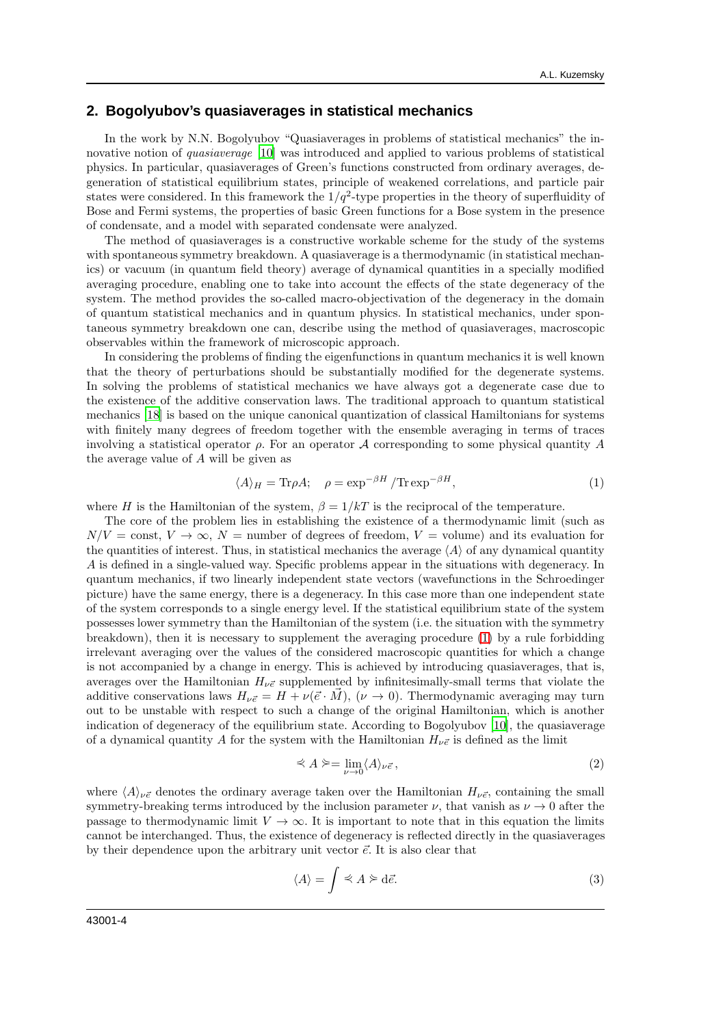### **2. Bogolyubov's quasiaverages in statistical mechanics**

In the work by N.N. Bogolyubov "Quasiaverages in problems of statistical mechanics" the innovative notion of *quasiaverage* [\[10\]](#page-18-1) was introduced and applied to various problems of statistical physics. In particular, quasiaverages of Green's functions constructed from ordinary averages, degeneration of statistical equilibrium states, principle of weakened correlations, and particle pair states were considered. In this framework the  $1/q^2$ -type properties in the theory of superfluidity of Bose and Fermi systems, the properties of basic Green functions for a Bose system in the presence of condensate, and a model with separated condensate were analyzed.

The method of quasiaverages is a constructive workable scheme for the study of the systems with spontaneous symmetry breakdown. A quasiaverage is a thermodynamic (in statistical mechanics) or vacuum (in quantum field theory) average of dynamical quantities in a specially modified averaging procedure, enabling one to take into account the effects of the state degeneracy of the system. The method provides the so-called macro-objectivation of the degeneracy in the domain of quantum statistical mechanics and in quantum physics. In statistical mechanics, under spontaneous symmetry breakdown one can, describe using the method of quasiaverages, macroscopic observables within the framework of microscopic approach.

In considering the problems of finding the eigenfunctions in quantum mechanics it is well known that the theory of perturbations should be substantially modified for the degenerate systems. In solving the problems of statistical mechanics we have always got a degenerate case due to the existence of the additive conservation laws. The traditional approach to quantum statistical mechanics [\[18\]](#page-18-0) is based on the unique canonical quantization of classical Hamiltonians for systems with finitely many degrees of freedom together with the ensemble averaging in terms of traces involving a statistical operator  $\rho$ . For an operator A corresponding to some physical quantity A the average value of A will be given as

<span id="page-3-0"></span>
$$
\langle A \rangle_H = \text{Tr}\rho A; \quad \rho = \exp^{-\beta H} / \text{Tr} \exp^{-\beta H}, \tag{1}
$$

where H is the Hamiltonian of the system,  $\beta = 1/kT$  is the reciprocal of the temperature.

The core of the problem lies in establishing the existence of a thermodynamic limit (such as  $N/V = \text{const}, V \to \infty, N = \text{number of degrees of freedom}, V = \text{volume}$  and its evaluation for the quantities of interest. Thus, in statistical mechanics the average  $\langle A \rangle$  of any dynamical quantity A is defined in a single-valued way. Specific problems appear in the situations with degeneracy. In quantum mechanics, if two linearly independent state vectors (wavefunctions in the Schroedinger picture) have the same energy, there is a degeneracy. In this case more than one independent state of the system corresponds to a single energy level. If the statistical equilibrium state of the system possesses lower symmetry than the Hamiltonian of the system (i.e. the situation with the symmetry breakdown), then it is necessary to supplement the averaging procedure  $(1)$  by a rule forbidding irrelevant averaging over the values of the considered macroscopic quantities for which a change is not accompanied by a change in energy. This is achieved by introducing quasiaverages, that is, averages over the Hamiltonian  $H_{\nu\bar{e}}$  supplemented by infinitesimally-small terms that violate the additive conservations laws  $H_{\nu\vec{\epsilon}} = H + \nu(\vec{\epsilon} \cdot M), (\nu \to 0)$ . Thermodynamic averaging may turn out to be unstable with respect to such a change of the original Hamiltonian, which is another indication of degeneracy of the equilibrium state. According to Bogolyubov [\[10](#page-18-1)], the quasiaverage of a dynamical quantity A for the system with the Hamiltonian  $H_{\nu\vec{e}}$  is defined as the limit

<span id="page-3-2"></span>
$$
\preceq A \succeq = \lim_{\nu \to 0} \langle A \rangle_{\nu\vec{e}},\tag{2}
$$

where  $\langle A\rangle_{\nu\vec{\epsilon}}$  denotes the ordinary average taken over the Hamiltonian  $H_{\nu\vec{\epsilon}}$ , containing the small symmetry-breaking terms introduced by the inclusion parameter  $\nu$ , that vanish as  $\nu \to 0$  after the passage to thermodynamic limit  $V \to \infty$ . It is important to note that in this equation the limits cannot be interchanged. Thus, the existence of degeneracy is reflected directly in the quasiaverages by their dependence upon the arbitrary unit vector  $\vec{e}$ . It is also clear that

<span id="page-3-1"></span>
$$
\langle A \rangle = \int \langle A \rangle \, d\vec{e}.\tag{3}
$$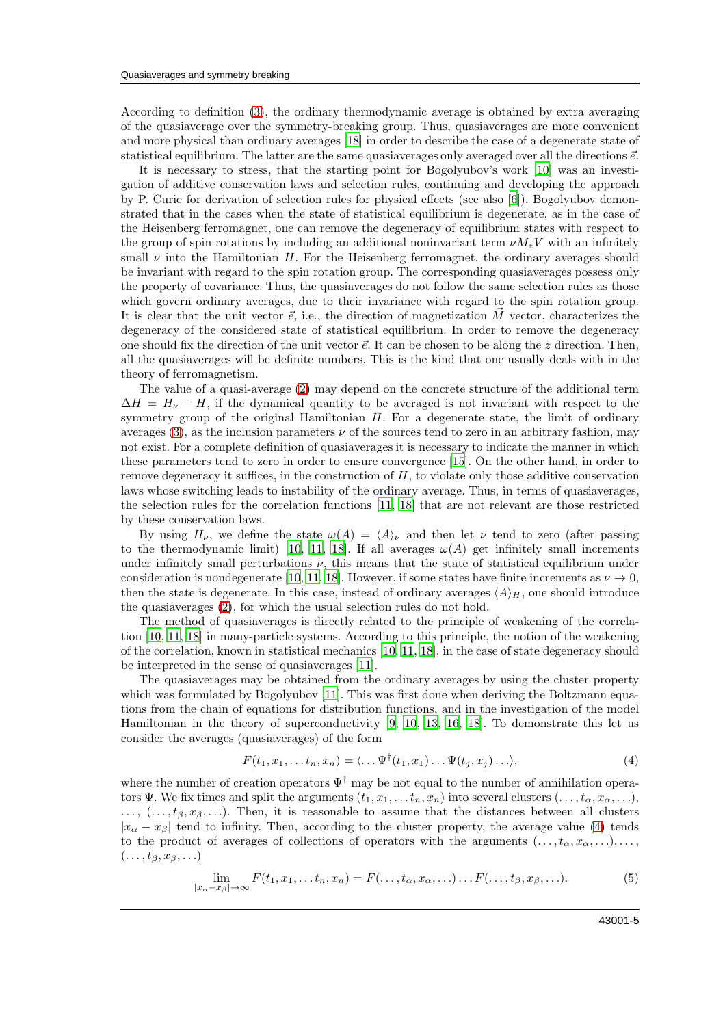According to definition [\(3\)](#page-3-1), the ordinary thermodynamic average is obtained by extra averaging of the quasiaverage over the symmetry-breaking group. Thus, quasiaverages are more convenient and more physical than ordinary averages [\[18\]](#page-18-0) in order to describe the case of a degenerate state of statistical equilibrium. The latter are the same quasiaverages only averaged over all the directions  $\vec{e}$ .

It is necessary to stress, that the starting point for Bogolyubov's work [\[10\]](#page-18-1) was an investigation of additive conservation laws and selection rules, continuing and developing the approach by P. Curie for derivation of selection rules for physical effects (see also [\[6\]](#page-17-6)). Bogolyubov demonstrated that in the cases when the state of statistical equilibrium is degenerate, as in the case of the Heisenberg ferromagnet, one can remove the degeneracy of equilibrium states with respect to the group of spin rotations by including an additional noninvariant term  $\nu M_z V$  with an infinitely small  $\nu$  into the Hamiltonian H. For the Heisenberg ferromagnet, the ordinary averages should be invariant with regard to the spin rotation group. The corresponding quasiaverages possess only the property of covariance. Thus, the quasiaverages do not follow the same selection rules as those which govern ordinary averages, due to their invariance with regard to the spin rotation group. It is clear that the unit vector  $\vec{e}$ , i.e., the direction of magnetization  $\vec{M}$  vector, characterizes the degeneracy of the considered state of statistical equilibrium. In order to remove the degeneracy one should fix the direction of the unit vector  $\vec{e}$ . It can be chosen to be along the z direction. Then, all the quasiaverages will be definite numbers. This is the kind that one usually deals with in the theory of ferromagnetism.

The value of a quasi-average [\(2\)](#page-3-2) may depend on the concrete structure of the additional term  $\Delta H = H_{\nu} - H$ , if the dynamical quantity to be averaged is not invariant with respect to the symmetry group of the original Hamiltonian  $H$ . For a degenerate state, the limit of ordinary averages  $(3)$ , as the inclusion parameters  $\nu$  of the sources tend to zero in an arbitrary fashion, may not exist. For a complete definition of quasiaverages it is necessary to indicate the manner in which these parameters tend to zero in order to ensure convergence [\[15](#page-18-3)]. On the other hand, in order to remove degeneracy it suffices, in the construction of  $H$ , to violate only those additive conservation laws whose switching leads to instability of the ordinary average. Thus, in terms of quasiaverages, the selection rules for the correlation functions [\[11,](#page-18-18) [18](#page-18-0)] that are not relevant are those restricted by these conservation laws.

By using  $H_{\nu}$ , we define the state  $\omega(A) = \langle A \rangle_{\nu}$  and then let  $\nu$  tend to zero (after passing to the thermodynamic limit) [\[10,](#page-18-1) [11,](#page-18-18) [18](#page-18-0)]. If all averages  $\omega(A)$  get infinitely small increments under infinitely small perturbations  $\nu$ , this means that the state of statistical equilibrium under consideration is nondegenerate [\[10,](#page-18-1) [11,](#page-18-18) [18](#page-18-0)]. However, if some states have finite increments as  $\nu \to 0$ , then the state is degenerate. In this case, instead of ordinary averages  $\langle A \rangle_H$ , one should introduce the quasiaverages [\(2\)](#page-3-2), for which the usual selection rules do not hold.

The method of quasiaverages is directly related to the principle of weakening of the correlation [\[10](#page-18-1), [11,](#page-18-18) [18\]](#page-18-0) in many-particle systems. According to this principle, the notion of the weakening of the correlation, known in statistical mechanics [\[10](#page-18-1), [11,](#page-18-18) [18](#page-18-0)], in the case of state degeneracy should be interpreted in the sense of quasiaverages [\[11\]](#page-18-18).

The quasiaverages may be obtained from the ordinary averages by using the cluster property which was formulated by Bogolyubov [\[11\]](#page-18-18). This was first done when deriving the Boltzmann equations from the chain of equations for distribution functions, and in the investigation of the model Hamiltonian in the theory of superconductivity [\[9](#page-17-9), [10,](#page-18-1) [13](#page-18-2), [16,](#page-18-4) [18\]](#page-18-0). To demonstrate this let us consider the averages (quasiaverages) of the form

<span id="page-4-0"></span>
$$
F(t_1, x_1, \dots, t_n, x_n) = \langle \dots \Psi^{\dagger}(t_1, x_1) \dots \Psi(t_j, x_j) \dots \rangle,
$$
\n(4)

where the number of creation operators  $\Psi^{\dagger}$  may be not equal to the number of annihilation operators  $\Psi$ . We fix times and split the arguments  $(t_1, x_1, \ldots t_n, x_n)$  into several clusters  $(\ldots, t_\alpha, x_\alpha, \ldots),$  $\ldots, (\ldots, t_{\beta}, x_{\beta}, \ldots).$  Then, it is reasonable to assume that the distances between all clusters  $|x_{\alpha}-x_{\beta}|$  tend to infinity. Then, according to the cluster property, the average value [\(4\)](#page-4-0) tends to the product of averages of collections of operators with the arguments  $(\ldots, t_{\alpha}, x_{\alpha}, \ldots), \ldots$  $(\ldots, t_\beta, x_\beta, \ldots)$ 

$$
\lim_{|x_{\alpha}-x_{\beta}| \to \infty} F(t_1, x_1, \dots, t_n, x_n) = F(\dots, t_{\alpha}, x_{\alpha}, \dots) \dots F(\dots, t_{\beta}, x_{\beta}, \dots).
$$
(5)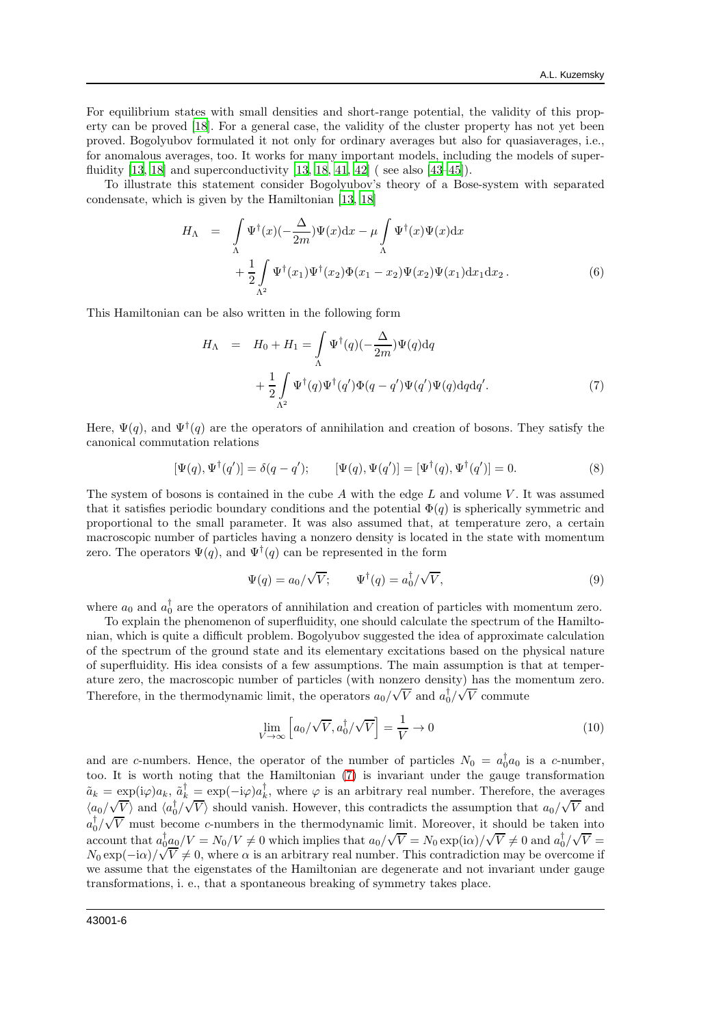For equilibrium states with small densities and short-range potential, the validity of this property can be proved [\[18](#page-18-0)]. For a general case, the validity of the cluster property has not yet been proved. Bogolyubov formulated it not only for ordinary averages but also for quasiaverages, i.e., for anomalous averages, too. It works for many important models, including the models of superfluidity  $[13, 18]$  $[13, 18]$  and superconductivity  $[13, 18, 41, 42]$  $[13, 18, 41, 42]$  $[13, 18, 41, 42]$  $[13, 18, 41, 42]$  $[13, 18, 41, 42]$  $[13, 18, 41, 42]$  $[13, 18, 41, 42]$  (see also  $[43-45]$ ).

To illustrate this statement consider Bogolyubov's theory of a Bose-system with separated condensate, which is given by the Hamiltonian [\[13](#page-18-2), [18](#page-18-0)]

$$
H_{\Lambda} = \int_{\Lambda} \Psi^{\dagger}(x) (-\frac{\Delta}{2m}) \Psi(x) dx - \mu \int_{\Lambda} \Psi^{\dagger}(x) \Psi(x) dx + \frac{1}{2} \int_{\Lambda^2} \Psi^{\dagger}(x_1) \Psi^{\dagger}(x_2) \Phi(x_1 - x_2) \Psi(x_2) \Psi(x_1) dx_1 dx_2.
$$
 (6)

This Hamiltonian can be also written in the following form

<span id="page-5-0"></span>
$$
H_{\Lambda} = H_0 + H_1 = \int_{\Lambda} \Psi^{\dagger}(q) \left( -\frac{\Delta}{2m} \right) \Psi(q) \mathrm{d}q
$$
  
+ 
$$
\frac{1}{2} \int_{\Lambda^2} \Psi^{\dagger}(q) \Psi^{\dagger}(q') \Phi(q - q') \Psi(q') \Psi(q) \mathrm{d}q \mathrm{d}q'.
$$
 (7)

Here,  $\Psi(q)$ , and  $\Psi^{\dagger}(q)$  are the operators of annihilation and creation of bosons. They satisfy the canonical commutation relations

$$
[\Psi(q), \Psi^{\dagger}(q')] = \delta(q - q'); \qquad [\Psi(q), \Psi(q')] = [\Psi^{\dagger}(q), \Psi^{\dagger}(q')] = 0.
$$
 (8)

The system of bosons is contained in the cube  $A$  with the edge  $L$  and volume  $V$ . It was assumed that it satisfies periodic boundary conditions and the potential  $\Phi(q)$  is spherically symmetric and proportional to the small parameter. It was also assumed that, at temperature zero, a certain macroscopic number of particles having a nonzero density is located in the state with momentum zero. The operators  $\Psi(q)$ , and  $\Psi^{\dagger}(q)$  can be represented in the form

$$
\Psi(q) = a_0 / \sqrt{V}; \qquad \Psi^{\dagger}(q) = a_0^{\dagger} / \sqrt{V}, \qquad (9)
$$

where  $a_0$  and  $a_0^{\dagger}$  are the operators of annihilation and creation of particles with momentum zero.

To explain the phenomenon of superfluidity, one should calculate the spectrum of the Hamiltonian, which is quite a difficult problem. Bogolyubov suggested the idea of approximate calculation of the spectrum of the ground state and its elementary excitations based on the physical nature of superfluidity. His idea consists of a few assumptions. The main assumption is that at temperature zero, the macroscopic number of particles (with nonzero density) has the momentum zero. Therefore, in the thermodynamic limit, the operators  $a_0/\sqrt{V}$  and  $a_0^{\dagger}/\sqrt{V}$  commute

$$
\lim_{V \to \infty} \left[ a_0 / \sqrt{V}, a_0^{\dagger} / \sqrt{V} \right] = \frac{1}{V} \to 0 \tag{10}
$$

and are c-numbers. Hence, the operator of the number of particles  $N_0 = a_0^{\dagger} a_0$  is a c-number, too. It is worth noting that the Hamiltonian [\(7\)](#page-5-0) is invariant under the gauge transformation  $\tilde{a}_k = \exp(i\varphi)a_k$ ,  $\tilde{a}_k^{\dagger} = \exp(-i\varphi)a_k^{\dagger}$ , where  $\varphi$  is an arbitrary real number. Therefore, the averages  $\langle a_0/\sqrt{V} \rangle$  and  $\langle a_0^{\dagger}/\sqrt{V} \rangle$  should vanish. However, this contradicts the assumption that  $a_0/\sqrt{V}$  and  $a_0^{\dagger}/\sqrt{V}$  must become c-numbers in the thermodynamic limit. Moreover, it should be taken into  $\alpha_0$  and  $a_0^{\dagger}a_0/V = N_0/V \neq 0$  which implies that  $a_0/\sqrt{V} = N_0 \exp(i\alpha)/\sqrt{V} \neq 0$  and  $a_0^{\dagger}/\sqrt{V} =$  $N_0 \exp(-i\alpha)/\sqrt{V} \neq 0$ , where  $\alpha$  is an arbitrary real number. This contradiction may be overcome if we assume that the eigenstates of the Hamiltonian are degenerate and not invariant under gauge transformations, i. e., that a spontaneous breaking of symmetry takes place.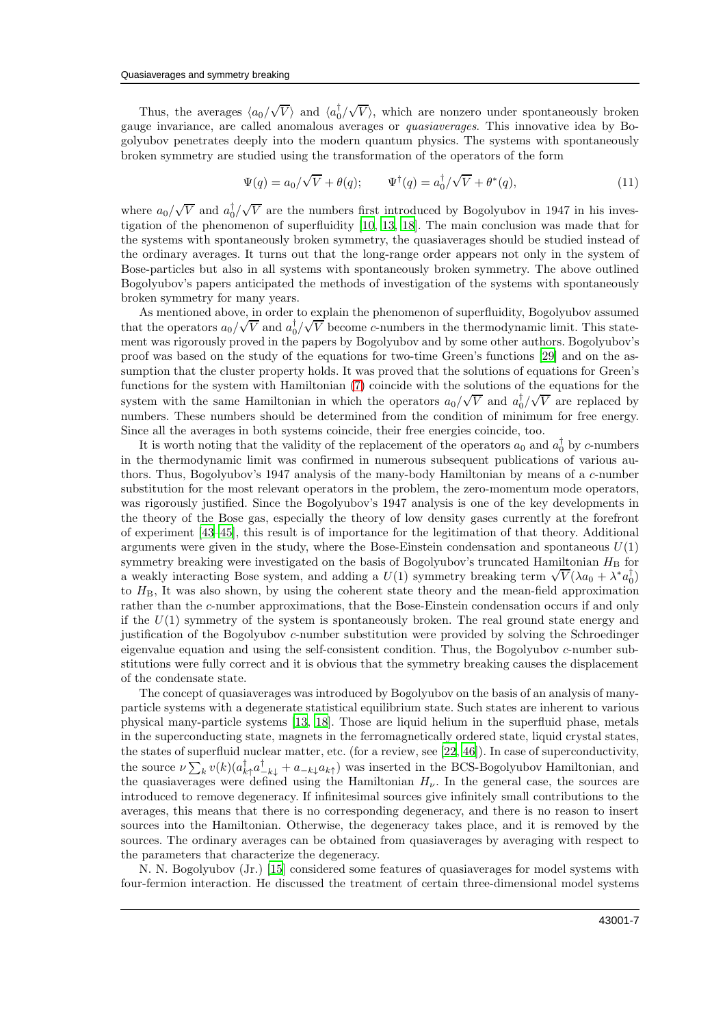Thus, the averages  $\langle a_0/\sqrt{V} \rangle$  and  $\langle a_0^{\dagger}/\sqrt{V} \rangle$ , which are nonzero under spontaneously broken gauge invariance, are called anomalous averages or quasiaverages. This innovative idea by Bogolyubov penetrates deeply into the modern quantum physics. The systems with spontaneously broken symmetry are studied using the transformation of the operators of the form

$$
\Psi(q) = a_0/\sqrt{V} + \theta(q); \qquad \Psi^{\dagger}(q) = a_0^{\dagger}/\sqrt{V} + \theta^*(q), \qquad (11)
$$

where  $a_0/\sqrt{V}$  and  $a_0^{\dagger}/\sqrt{V}$  are the numbers first introduced by Bogolyubov in 1947 in his investigation of the phenomenon of superfluidity [\[10](#page-18-1), [13,](#page-18-2) [18](#page-18-0)]. The main conclusion was made that for the systems with spontaneously broken symmetry, the quasiaverages should be studied instead of the ordinary averages. It turns out that the long-range order appears not only in the system of Bose-particles but also in all systems with spontaneously broken symmetry. The above outlined Bogolyubov's papers anticipated the methods of investigation of the systems with spontaneously broken symmetry for many years.

As mentioned above, in order to explain the phenomenon of superfluidity, Bogolyubov assumed that the operators  $a_0/\sqrt{V}$  and  $a_0^{\dagger}/\sqrt{V}$  become c-numbers in the thermodynamic limit. This statement was rigorously proved in the papers by Bogolyubov and by some other authors. Bogolyubov's proof was based on the study of the equations for two-time Green's functions [\[29\]](#page-18-14) and on the assumption that the cluster property holds. It was proved that the solutions of equations for Green's functions for the system with Hamiltonian [\(7\)](#page-5-0) coincide with the solutions of the equations for the system with the same Hamiltonian in which the operators  $a_0/\sqrt{V}$  and  $a_0^{\dagger}/\sqrt{V}$  are replaced by numbers. These numbers should be determined from the condition of minimum for free energy. Since all the averages in both systems coincide, their free energies coincide, too.

It is worth noting that the validity of the replacement of the operators  $a_0$  and  $a_0^{\dagger}$  by c-numbers in the thermodynamic limit was confirmed in numerous subsequent publications of various authors. Thus, Bogolyubov's 1947 analysis of the many-body Hamiltonian by means of a c-number substitution for the most relevant operators in the problem, the zero-momentum mode operators, was rigorously justified. Since the Bogolyubov's 1947 analysis is one of the key developments in the theory of the Bose gas, especially the theory of low density gases currently at the forefront of experiment [\[43](#page-18-21)[–45\]](#page-18-22), this result is of importance for the legitimation of that theory. Additional arguments were given in the study, where the Bose-Einstein condensation and spontaneous  $U(1)$ symmetry breaking were investigated on the basis of Bogolyubov's truncated Hamiltonian  $H_B$  for a weakly interacting Bose system, and adding a  $U(1)$  symmetry breaking term  $\sqrt{V}(\lambda a_0 + \lambda^* a_0^{\dagger})$ to  $H<sub>B</sub>$ , It was also shown, by using the coherent state theory and the mean-field approximation rather than the c-number approximations, that the Bose-Einstein condensation occurs if and only if the  $U(1)$  symmetry of the system is spontaneously broken. The real ground state energy and justification of the Bogolyubov c-number substitution were provided by solving the Schroedinger eigenvalue equation and using the self-consistent condition. Thus, the Bogolyubov c-number substitutions were fully correct and it is obvious that the symmetry breaking causes the displacement of the condensate state.

The concept of quasiaverages was introduced by Bogolyubov on the basis of an analysis of manyparticle systems with a degenerate statistical equilibrium state. Such states are inherent to various physical many-particle systems [\[13](#page-18-2), [18](#page-18-0)]. Those are liquid helium in the superfluid phase, metals in the superconducting state, magnets in the ferromagnetically ordered state, liquid crystal states, the states of superfluid nuclear matter, etc. (for a review, see [\[22,](#page-18-12) [46\]](#page-18-23)). In case of superconductivity, the source  $\nu \sum_k v(k) (a_{k\uparrow}^{\dagger} a_{-k\downarrow}^{\dagger} + a_{-k\downarrow} a_{k\uparrow})$  was inserted in the BCS-Bogolyubov Hamiltonian, and the quasiaverages were defined using the Hamiltonian  $H_{\nu}$ . In the general case, the sources are introduced to remove degeneracy. If infinitesimal sources give infinitely small contributions to the averages, this means that there is no corresponding degeneracy, and there is no reason to insert sources into the Hamiltonian. Otherwise, the degeneracy takes place, and it is removed by the sources. The ordinary averages can be obtained from quasiaverages by averaging with respect to the parameters that characterize the degeneracy.

N. N. Bogolyubov (Jr.) [\[15\]](#page-18-3) considered some features of quasiaverages for model systems with four-fermion interaction. He discussed the treatment of certain three-dimensional model systems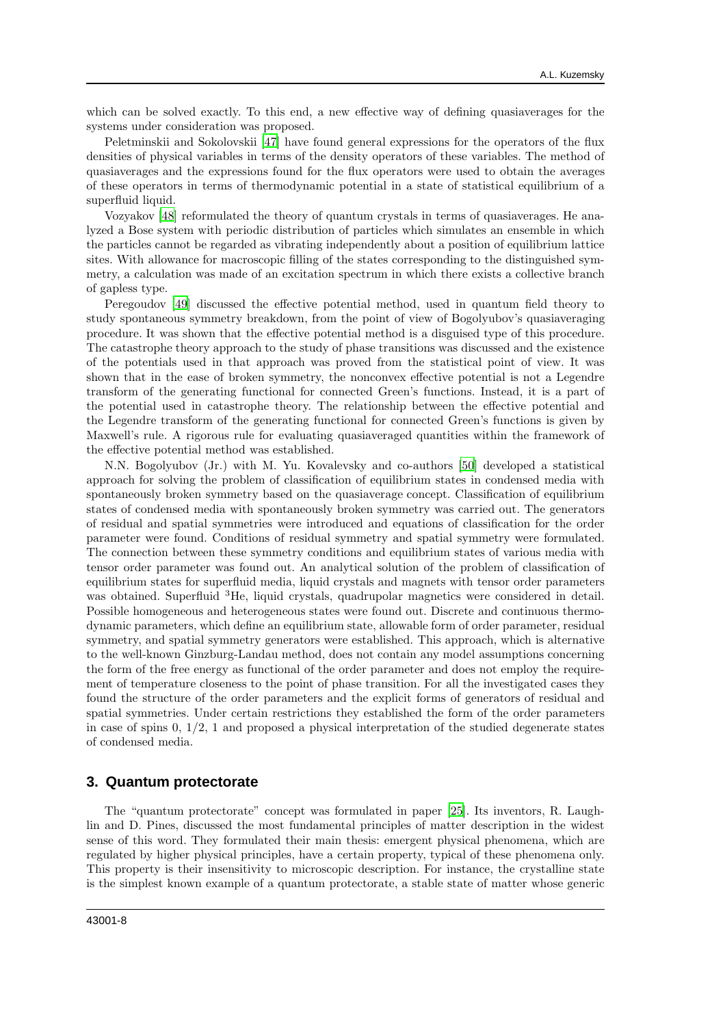which can be solved exactly. To this end, a new effective way of defining quasiaverages for the systems under consideration was proposed.

Peletminskii and Sokolovskii [\[47](#page-18-24)] have found general expressions for the operators of the flux densities of physical variables in terms of the density operators of these variables. The method of quasiaverages and the expressions found for the flux operators were used to obtain the averages of these operators in terms of thermodynamic potential in a state of statistical equilibrium of a superfluid liquid.

Vozyakov [\[48\]](#page-18-25) reformulated the theory of quantum crystals in terms of quasiaverages. He analyzed a Bose system with periodic distribution of particles which simulates an ensemble in which the particles cannot be regarded as vibrating independently about a position of equilibrium lattice sites. With allowance for macroscopic filling of the states corresponding to the distinguished symmetry, a calculation was made of an excitation spectrum in which there exists a collective branch of gapless type.

Peregoudov [\[49\]](#page-18-26) discussed the effective potential method, used in quantum field theory to study spontaneous symmetry breakdown, from the point of view of Bogolyubov's quasiaveraging procedure. It was shown that the effective potential method is a disguised type of this procedure. The catastrophe theory approach to the study of phase transitions was discussed and the existence of the potentials used in that approach was proved from the statistical point of view. It was shown that in the ease of broken symmetry, the nonconvex effective potential is not a Legendre transform of the generating functional for connected Green's functions. Instead, it is a part of the potential used in catastrophe theory. The relationship between the effective potential and the Legendre transform of the generating functional for connected Green's functions is given by Maxwell's rule. A rigorous rule for evaluating quasiaveraged quantities within the framework of the effective potential method was established.

N.N. Bogolyubov (Jr.) with M. Yu. Kovalevsky and co-authors [\[50](#page-18-27)] developed a statistical approach for solving the problem of classification of equilibrium states in condensed media with spontaneously broken symmetry based on the quasiaverage concept. Classification of equilibrium states of condensed media with spontaneously broken symmetry was carried out. The generators of residual and spatial symmetries were introduced and equations of classification for the order parameter were found. Conditions of residual symmetry and spatial symmetry were formulated. The connection between these symmetry conditions and equilibrium states of various media with tensor order parameter was found out. An analytical solution of the problem of classification of equilibrium states for superfluid media, liquid crystals and magnets with tensor order parameters was obtained. Superfluid <sup>3</sup>He, liquid crystals, quadrupolar magnetics were considered in detail. Possible homogeneous and heterogeneous states were found out. Discrete and continuous thermodynamic parameters, which define an equilibrium state, allowable form of order parameter, residual symmetry, and spatial symmetry generators were established. This approach, which is alternative to the well-known Ginzburg-Landau method, does not contain any model assumptions concerning the form of the free energy as functional of the order parameter and does not employ the requirement of temperature closeness to the point of phase transition. For all the investigated cases they found the structure of the order parameters and the explicit forms of generators of residual and spatial symmetries. Under certain restrictions they established the form of the order parameters in case of spins  $0, 1/2, 1$  and proposed a physical interpretation of the studied degenerate states of condensed media.

#### **3. Quantum protectorate**

The "quantum protectorate" concept was formulated in paper [\[25\]](#page-18-9). Its inventors, R. Laughlin and D. Pines, discussed the most fundamental principles of matter description in the widest sense of this word. They formulated their main thesis: emergent physical phenomena, which are regulated by higher physical principles, have a certain property, typical of these phenomena only. This property is their insensitivity to microscopic description. For instance, the crystalline state is the simplest known example of a quantum protectorate, a stable state of matter whose generic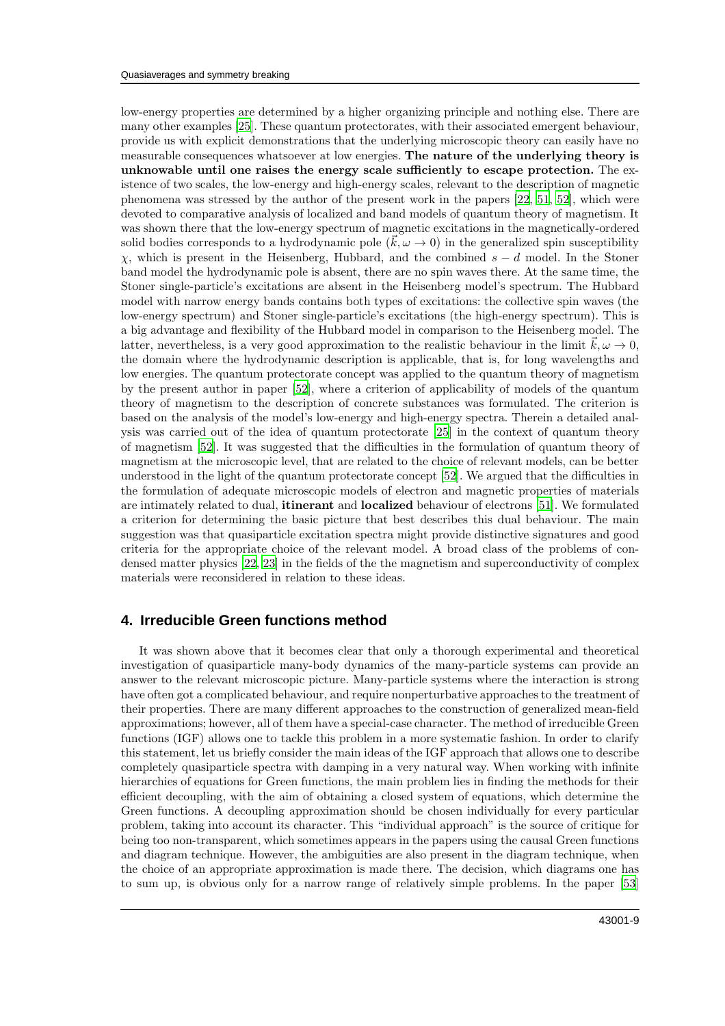low-energy properties are determined by a higher organizing principle and nothing else. There are many other examples [\[25\]](#page-18-9). These quantum protectorates, with their associated emergent behaviour, provide us with explicit demonstrations that the underlying microscopic theory can easily have no measurable consequences whatsoever at low energies. The nature of the underlying theory is unknowable until one raises the energy scale sufficiently to escape protection. The existence of two scales, the low-energy and high-energy scales, relevant to the description of magnetic phenomena was stressed by the author of the present work in the papers [\[22,](#page-18-12) [51,](#page-18-28) [52](#page-18-29)], which were devoted to comparative analysis of localized and band models of quantum theory of magnetism. It was shown there that the low-energy spectrum of magnetic excitations in the magnetically-ordered solid bodies corresponds to a hydrodynamic pole  $(k, \omega \rightarrow 0)$  in the generalized spin susceptibility  $\chi$ , which is present in the Heisenberg, Hubbard, and the combined  $s - d$  model. In the Stoner band model the hydrodynamic pole is absent, there are no spin waves there. At the same time, the Stoner single-particle's excitations are absent in the Heisenberg model's spectrum. The Hubbard model with narrow energy bands contains both types of excitations: the collective spin waves (the low-energy spectrum) and Stoner single-particle's excitations (the high-energy spectrum). This is a big advantage and flexibility of the Hubbard model in comparison to the Heisenberg model. The latter, nevertheless, is a very good approximation to the realistic behaviour in the limit  $k, \omega \to 0$ , the domain where the hydrodynamic description is applicable, that is, for long wavelengths and low energies. The quantum protectorate concept was applied to the quantum theory of magnetism by the present author in paper [\[52\]](#page-18-29), where a criterion of applicability of models of the quantum theory of magnetism to the description of concrete substances was formulated. The criterion is based on the analysis of the model's low-energy and high-energy spectra. Therein a detailed analysis was carried out of the idea of quantum protectorate [\[25](#page-18-9)] in the context of quantum theory of magnetism [\[52](#page-18-29)]. It was suggested that the difficulties in the formulation of quantum theory of magnetism at the microscopic level, that are related to the choice of relevant models, can be better understood in the light of the quantum protectorate concept [\[52\]](#page-18-29). We argued that the difficulties in the formulation of adequate microscopic models of electron and magnetic properties of materials are intimately related to dual, itinerant and localized behaviour of electrons [\[51](#page-18-28)]. We formulated a criterion for determining the basic picture that best describes this dual behaviour. The main suggestion was that quasiparticle excitation spectra might provide distinctive signatures and good criteria for the appropriate choice of the relevant model. A broad class of the problems of condensed matter physics [\[22](#page-18-12), [23\]](#page-18-7) in the fields of the the magnetism and superconductivity of complex materials were reconsidered in relation to these ideas.

## **4. Irreducible Green functions method**

It was shown above that it becomes clear that only a thorough experimental and theoretical investigation of quasiparticle many-body dynamics of the many-particle systems can provide an answer to the relevant microscopic picture. Many-particle systems where the interaction is strong have often got a complicated behaviour, and require nonperturbative approaches to the treatment of their properties. There are many different approaches to the construction of generalized mean-field approximations; however, all of them have a special-case character. The method of irreducible Green functions (IGF) allows one to tackle this problem in a more systematic fashion. In order to clarify this statement, let us briefly consider the main ideas of the IGF approach that allows one to describe completely quasiparticle spectra with damping in a very natural way. When working with infinite hierarchies of equations for Green functions, the main problem lies in finding the methods for their efficient decoupling, with the aim of obtaining a closed system of equations, which determine the Green functions. A decoupling approximation should be chosen individually for every particular problem, taking into account its character. This "individual approach" is the source of critique for being too non-transparent, which sometimes appears in the papers using the causal Green functions and diagram technique. However, the ambiguities are also present in the diagram technique, when the choice of an appropriate approximation is made there. The decision, which diagrams one has to sum up, is obvious only for a narrow range of relatively simple problems. In the paper [\[53\]](#page-18-30)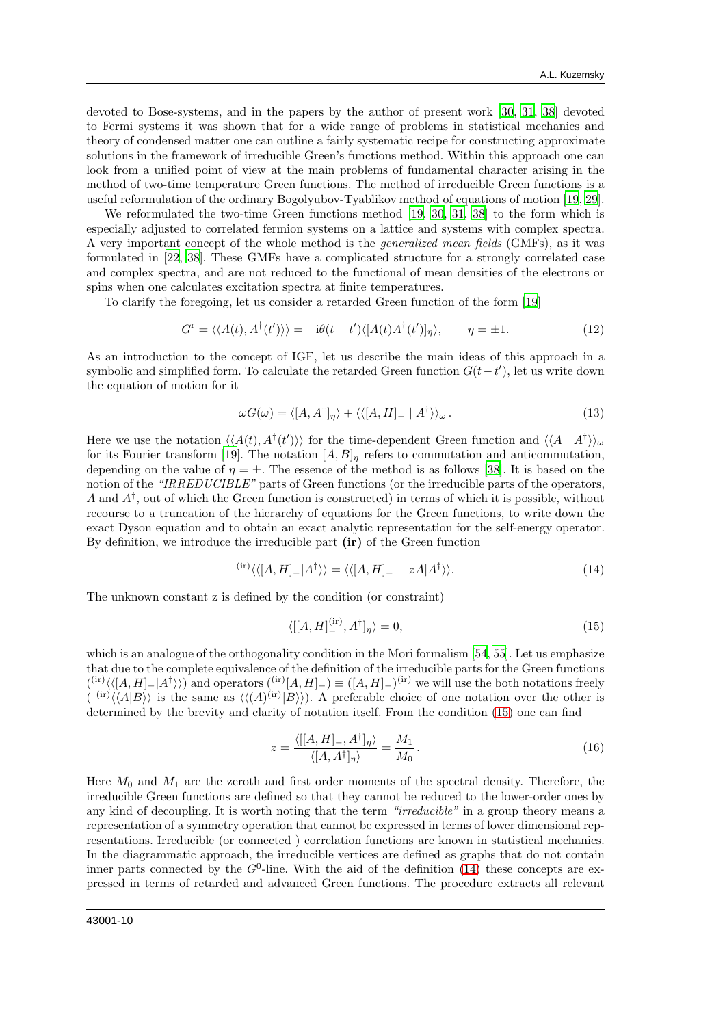devoted to Bose-systems, and in the papers by the author of present work [\[30,](#page-18-15) [31](#page-18-31), [38](#page-18-17)] devoted to Fermi systems it was shown that for a wide range of problems in statistical mechanics and theory of condensed matter one can outline a fairly systematic recipe for constructing approximate solutions in the framework of irreducible Green's functions method. Within this approach one can look from a unified point of view at the main problems of fundamental character arising in the method of two-time temperature Green functions. The method of irreducible Green functions is a useful reformulation of the ordinary Bogolyubov-Tyablikov method of equations of motion [\[19](#page-18-5), [29\]](#page-18-14).

We reformulated the two-time Green functions method [\[19](#page-18-5), [30](#page-18-15), [31,](#page-18-31) [38\]](#page-18-17) to the form which is especially adjusted to correlated fermion systems on a lattice and systems with complex spectra. A very important concept of the whole method is the generalized mean fields (GMFs), as it was formulated in [\[22](#page-18-12), [38\]](#page-18-17). These GMFs have a complicated structure for a strongly correlated case and complex spectra, and are not reduced to the functional of mean densities of the electrons or spins when one calculates excitation spectra at finite temperatures.

To clarify the foregoing, let us consider a retarded Green function of the form [\[19](#page-18-5)]

$$
G^{\mathrm{r}} = \langle \langle A(t), A^{\dagger}(t') \rangle \rangle = -i\theta(t - t') \langle [A(t)A^{\dagger}(t')]_{\eta} \rangle, \qquad \eta = \pm 1. \tag{12}
$$

As an introduction to the concept of IGF, let us describe the main ideas of this approach in a symbolic and simplified form. To calculate the retarded Green function  $G(t-t')$ , let us write down the equation of motion for it

<span id="page-9-2"></span>
$$
\omega G(\omega) = \langle [A, A^{\dagger}]_{\eta} \rangle + \langle \langle [A, H]_{-} | A^{\dagger} \rangle \rangle_{\omega} . \tag{13}
$$

Here we use the notation  $\langle\langle A(t), A^{\dagger}(t')\rangle\rangle$  for the time-dependent Green function and  $\langle\langle A | A^{\dagger}\rangle\rangle_{\omega}$ for its Fourier transform [\[19\]](#page-18-5). The notation  $[A, B]_n$  refers to commutation and anticommutation, depending on the value of  $\eta = \pm$ . The essence of the method is as follows [\[38](#page-18-17)]. It is based on the notion of the "IRREDUCIBLE" parts of Green functions (or the irreducible parts of the operators, A and  $A^{\dagger}$ , out of which the Green function is constructed) in terms of which it is possible, without recourse to a truncation of the hierarchy of equations for the Green functions, to write down the exact Dyson equation and to obtain an exact analytic representation for the self-energy operator. By definition, we introduce the irreducible part  $(iv)$  of the Green function

<span id="page-9-1"></span>
$$
^{(ir)}\langle\langle [A, H]_{-} | A^{\dagger} \rangle\rangle = \langle\langle [A, H]_{-} - zA | A^{\dagger} \rangle\rangle. \tag{14}
$$

The unknown constant z is defined by the condition (or constraint)

<span id="page-9-0"></span>
$$
\langle [[A, H]^{(\mathrm{ir})}_{-}, A^{\dagger}]_{\eta} \rangle = 0,\tag{15}
$$

which is an analogue of the orthogonality condition in the Mori formalism [\[54,](#page-18-32) [55\]](#page-19-0). Let us emphasize that due to the complete equivalence of the definition of the irreducible parts for the Green functions  $(\langle [A, H]_- | A^{\dagger} \rangle)$  and operators  $(\langle [A, H]_-] \rangle \equiv ([A, H]_-)^{(\mathrm{ir})}$  we will use the both notations freely  $(\langle A|B\rangle)$  is the same as  $\langle \langle (A)^{(ir)}|B\rangle \rangle$ . A preferable choice of one notation over the other is determined by the brevity and clarity of notation itself. From the condition [\(15\)](#page-9-0) one can find

$$
z = \frac{\langle [[A, H]_-, A^\dagger]_\eta \rangle}{\langle [A, A^\dagger]_\eta \rangle} = \frac{M_1}{M_0}.
$$
\n(16)

Here  $M_0$  and  $M_1$  are the zeroth and first order moments of the spectral density. Therefore, the irreducible Green functions are defined so that they cannot be reduced to the lower-order ones by any kind of decoupling. It is worth noting that the term "irreducible" in a group theory means a representation of a symmetry operation that cannot be expressed in terms of lower dimensional representations. Irreducible (or connected ) correlation functions are known in statistical mechanics. In the diagrammatic approach, the irreducible vertices are defined as graphs that do not contain inner parts connected by the  $G^0$ -line. With the aid of the definition [\(14\)](#page-9-1) these concepts are expressed in terms of retarded and advanced Green functions. The procedure extracts all relevant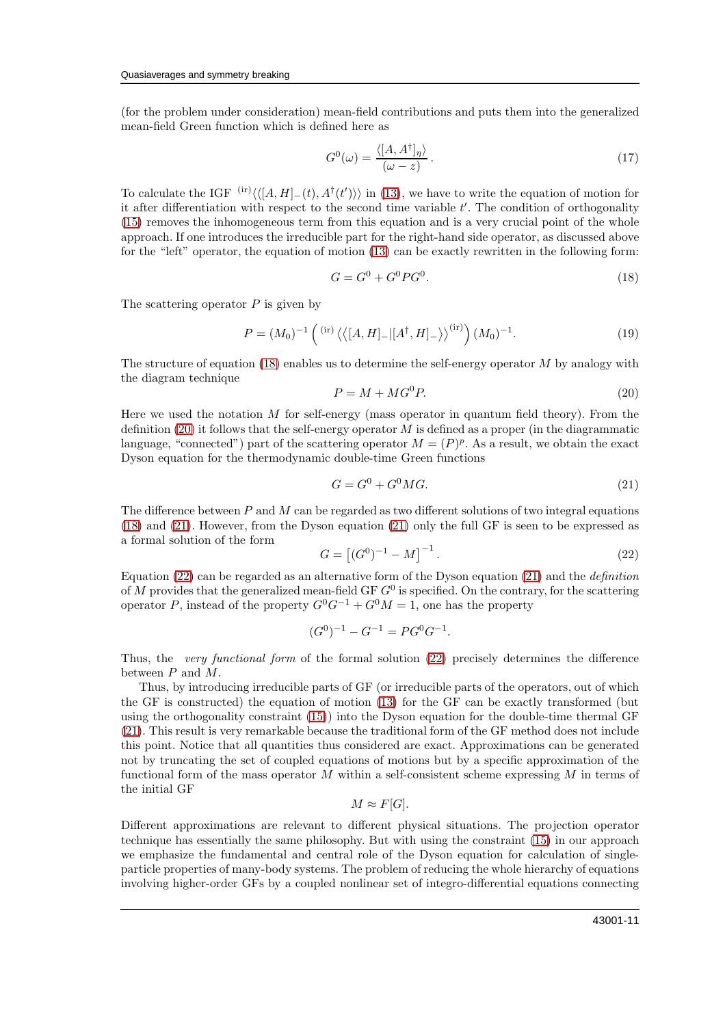(for the problem under consideration) mean-field contributions and puts them into the generalized mean-field Green function which is defined here as

$$
G^{0}(\omega) = \frac{\langle [A, A^{\dagger}]_{\eta} \rangle}{(\omega - z)}.
$$
\n(17)

To calculate the IGF  $\langle (A, H)_{-}(t), A^{\dagger}(t') \rangle$  in [\(13\)](#page-9-2), we have to write the equation of motion for it after differentiation with respect to the second time variable  $t'$ . The condition of orthogonality [\(15\)](#page-9-0) removes the inhomogeneous term from this equation and is a very crucial point of the whole approach. If one introduces the irreducible part for the right-hand side operator, as discussed above for the "left" operator, the equation of motion [\(13\)](#page-9-2) can be exactly rewritten in the following form:

<span id="page-10-0"></span>
$$
G = G^0 + G^0 P G^0. \tag{18}
$$

The scattering operator  $P$  is given by

$$
P = (M_0)^{-1} \left( \xrightarrow{\text{(ir)}} \langle \langle [A, H]_- | [A^\dagger, H]_- \rangle \rangle^{\text{(ir)}} \right) (M_0)^{-1}.
$$
 (19)

The structure of equation [\(18\)](#page-10-0) enables us to determine the self-energy operator  $M$  by analogy with the diagram technique

<span id="page-10-1"></span>
$$
P = M + MG^0 P. \tag{20}
$$

Here we used the notation  $M$  for self-energy (mass operator in quantum field theory). From the definition  $(20)$  it follows that the self-energy operator M is defined as a proper (in the diagrammatic language, "connected") part of the scattering operator  $M = (P)^p$ . As a result, we obtain the exact Dyson equation for the thermodynamic double-time Green functions

<span id="page-10-2"></span>
$$
G = G^0 + G^0 MG. \tag{21}
$$

The difference between  $P$  and  $M$  can be regarded as two different solutions of two integral equations [\(18\)](#page-10-0) and [\(21\)](#page-10-2). However, from the Dyson equation [\(21\)](#page-10-2) only the full GF is seen to be expressed as a formal solution of the form

<span id="page-10-3"></span>
$$
G = [(G0)-1 - M]-1.
$$
\n(22)

Equation  $(22)$  can be regarded as an alternative form of the Dyson equation  $(21)$  and the *definition* of M provides that the generalized mean-field GF  $G^0$  is specified. On the contrary, for the scattering operator P, instead of the property  $G^0G^{-1} + G^0M = 1$ , one has the property

$$
(G^0)^{-1} - G^{-1} = PG^0G^{-1}.
$$

Thus, the very functional form of the formal solution [\(22\)](#page-10-3) precisely determines the difference between  $P$  and  $M$ .

Thus, by introducing irreducible parts of GF (or irreducible parts of the operators, out of which the GF is constructed) the equation of motion [\(13\)](#page-9-2) for the GF can be exactly transformed (but using the orthogonality constraint [\(15\)](#page-9-0)) into the Dyson equation for the double-time thermal GF [\(21\)](#page-10-2). This result is very remarkable because the traditional form of the GF method does not include this point. Notice that all quantities thus considered are exact. Approximations can be generated not by truncating the set of coupled equations of motions but by a specific approximation of the functional form of the mass operator  $M$  within a self-consistent scheme expressing  $M$  in terms of the initial GF

$$
M \approx F[G].
$$

Different approximations are relevant to different physical situations. The projection operator technique has essentially the same philosophy. But with using the constraint [\(15\)](#page-9-0) in our approach we emphasize the fundamental and central role of the Dyson equation for calculation of singleparticle properties of many-body systems. The problem of reducing the whole hierarchy of equations involving higher-order GFs by a coupled nonlinear set of integro-differential equations connecting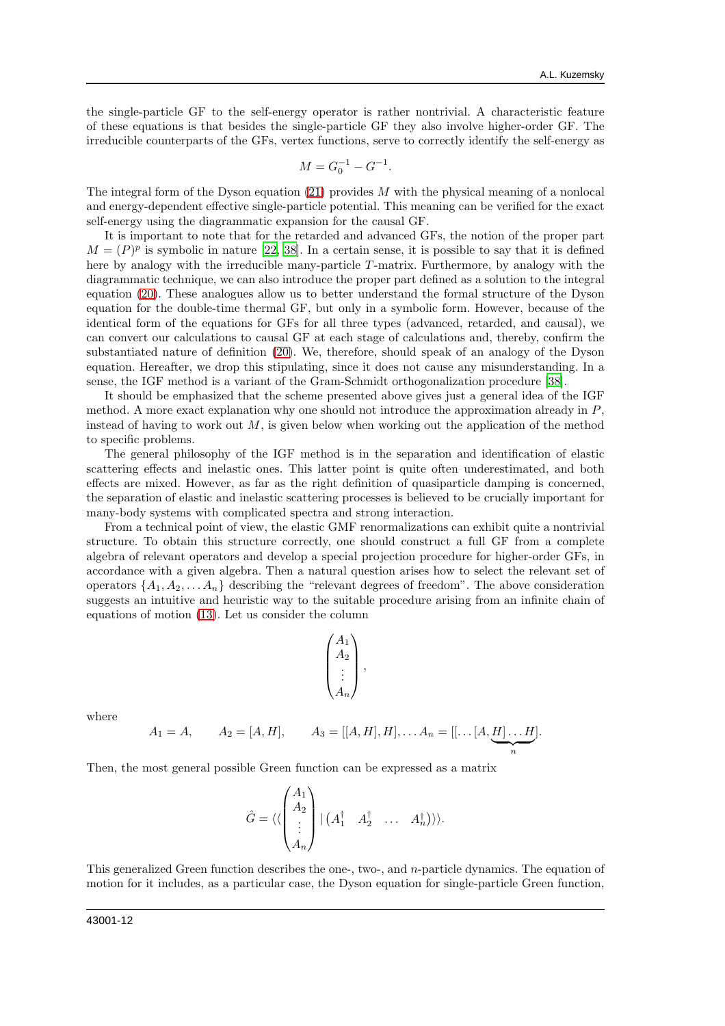the single-particle GF to the self-energy operator is rather nontrivial. A characteristic feature of these equations is that besides the single-particle GF they also involve higher-order GF. The irreducible counterparts of the GFs, vertex functions, serve to correctly identify the self-energy as

$$
M = G_0^{-1} - G^{-1}.
$$

The integral form of the Dyson equation  $(21)$  provides  $M$  with the physical meaning of a nonlocal and energy-dependent effective single-particle potential. This meaning can be verified for the exact self-energy using the diagrammatic expansion for the causal GF.

It is important to note that for the retarded and advanced GFs, the notion of the proper part  $M = (P)^p$  is symbolic in nature [\[22](#page-18-12), [38](#page-18-17)]. In a certain sense, it is possible to say that it is defined here by analogy with the irreducible many-particle  $T$ -matrix. Furthermore, by analogy with the diagrammatic technique, we can also introduce the proper part defined as a solution to the integral equation [\(20\)](#page-10-1). These analogues allow us to better understand the formal structure of the Dyson equation for the double-time thermal GF, but only in a symbolic form. However, because of the identical form of the equations for GFs for all three types (advanced, retarded, and causal), we can convert our calculations to causal GF at each stage of calculations and, thereby, confirm the substantiated nature of definition [\(20\)](#page-10-1). We, therefore, should speak of an analogy of the Dyson equation. Hereafter, we drop this stipulating, since it does not cause any misunderstanding. In a sense, the IGF method is a variant of the Gram-Schmidt orthogonalization procedure [\[38\]](#page-18-17).

It should be emphasized that the scheme presented above gives just a general idea of the IGF method. A more exact explanation why one should not introduce the approximation already in  $P$ , instead of having to work out  $M$ , is given below when working out the application of the method to specific problems.

The general philosophy of the IGF method is in the separation and identification of elastic scattering effects and inelastic ones. This latter point is quite often underestimated, and both effects are mixed. However, as far as the right definition of quasiparticle damping is concerned, the separation of elastic and inelastic scattering processes is believed to be crucially important for many-body systems with complicated spectra and strong interaction.

From a technical point of view, the elastic GMF renormalizations can exhibit quite a nontrivial structure. To obtain this structure correctly, one should construct a full GF from a complete algebra of relevant operators and develop a special projection procedure for higher-order GFs, in accordance with a given algebra. Then a natural question arises how to select the relevant set of operators  $\{A_1, A_2, \ldots, A_n\}$  describing the "relevant degrees of freedom". The above consideration suggests an intuitive and heuristic way to the suitable procedure arising from an infinite chain of equations of motion [\(13\)](#page-9-2). Let us consider the column

$$
\begin{pmatrix} A_1 \\ A_2 \\ \vdots \\ A_n \end{pmatrix},
$$

where

$$
A_1 = A
$$
,  $A_2 = [A, H]$ ,  $A_3 = [[A, H], H]$ , ...  $A_n = [[...[A, H]...H]$ .

Then, the most general possible Green function can be expressed as a matrix

$$
\hat{G} = \langle \langle \begin{pmatrix} A_1 \\ A_2 \\ \vdots \\ A_n \end{pmatrix} | \begin{pmatrix} A_1^{\dagger} & A_2^{\dagger} & \dots & A_n^{\dagger} \end{pmatrix} \rangle \rangle.
$$

This generalized Green function describes the one-, two-, and n-particle dynamics. The equation of motion for it includes, as a particular case, the Dyson equation for single-particle Green function,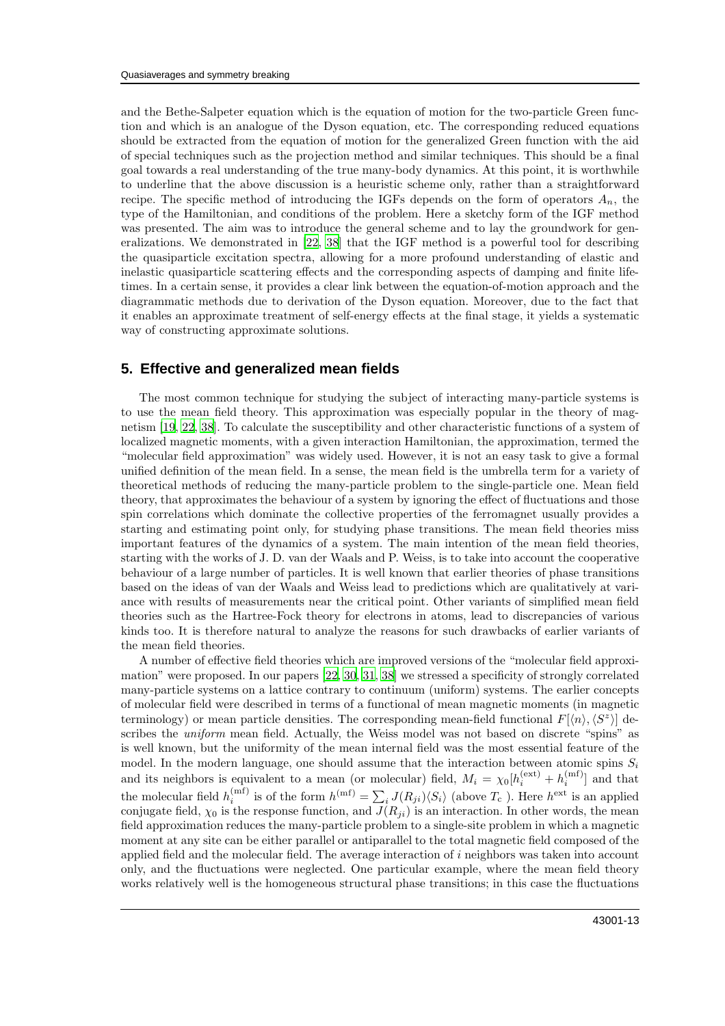and the Bethe-Salpeter equation which is the equation of motion for the two-particle Green function and which is an analogue of the Dyson equation, etc. The corresponding reduced equations should be extracted from the equation of motion for the generalized Green function with the aid of special techniques such as the projection method and similar techniques. This should be a final goal towards a real understanding of the true many-body dynamics. At this point, it is worthwhile to underline that the above discussion is a heuristic scheme only, rather than a straightforward recipe. The specific method of introducing the IGFs depends on the form of operators  $A_n$ , the type of the Hamiltonian, and conditions of the problem. Here a sketchy form of the IGF method was presented. The aim was to introduce the general scheme and to lay the groundwork for generalizations. We demonstrated in [\[22](#page-18-12), [38\]](#page-18-17) that the IGF method is a powerful tool for describing the quasiparticle excitation spectra, allowing for a more profound understanding of elastic and inelastic quasiparticle scattering effects and the corresponding aspects of damping and finite lifetimes. In a certain sense, it provides a clear link between the equation-of-motion approach and the diagrammatic methods due to derivation of the Dyson equation. Moreover, due to the fact that it enables an approximate treatment of self-energy effects at the final stage, it yields a systematic way of constructing approximate solutions.

## **5. Effective and generalized mean fields**

The most common technique for studying the subject of interacting many-particle systems is to use the mean field theory. This approximation was especially popular in the theory of magnetism [\[19,](#page-18-5) [22,](#page-18-12) [38](#page-18-17)]. To calculate the susceptibility and other characteristic functions of a system of localized magnetic moments, with a given interaction Hamiltonian, the approximation, termed the "molecular field approximation" was widely used. However, it is not an easy task to give a formal unified definition of the mean field. In a sense, the mean field is the umbrella term for a variety of theoretical methods of reducing the many-particle problem to the single-particle one. Mean field theory, that approximates the behaviour of a system by ignoring the effect of fluctuations and those spin correlations which dominate the collective properties of the ferromagnet usually provides a starting and estimating point only, for studying phase transitions. The mean field theories miss important features of the dynamics of a system. The main intention of the mean field theories, starting with the works of J. D. van der Waals and P. Weiss, is to take into account the cooperative behaviour of a large number of particles. It is well known that earlier theories of phase transitions based on the ideas of van der Waals and Weiss lead to predictions which are qualitatively at variance with results of measurements near the critical point. Other variants of simplified mean field theories such as the Hartree-Fock theory for electrons in atoms, lead to discrepancies of various kinds too. It is therefore natural to analyze the reasons for such drawbacks of earlier variants of the mean field theories.

A number of effective field theories which are improved versions of the "molecular field approximation" were proposed. In our papers [\[22](#page-18-12), [30,](#page-18-15) [31,](#page-18-31) [38](#page-18-17)] we stressed a specificity of strongly correlated many-particle systems on a lattice contrary to continuum (uniform) systems. The earlier concepts of molecular field were described in terms of a functional of mean magnetic moments (in magnetic terminology) or mean particle densities. The corresponding mean-field functional  $F[\langle n \rangle, \langle S^z \rangle]$  describes the *uniform* mean field. Actually, the Weiss model was not based on discrete "spins" as is well known, but the uniformity of the mean internal field was the most essential feature of the model. In the modern language, one should assume that the interaction between atomic spins  $S_i$ and its neighbors is equivalent to a mean (or molecular) field,  $M_i = \chi_0[h_i^{(ext)} + h_i^{(mf)}]$  and that the molecular field  $h_i^{(mf)}$  is of the form  $h^{(mf)} = \sum_i J(R_{ji})\langle S_i \rangle$  (above  $T_c$  ). Here  $h^{ext}$  is an applied conjugate field,  $\chi_0$  is the response function, and  $J(R_{ji})$  is an interaction. In other words, the mean field approximation reduces the many-particle problem to a single-site problem in which a magnetic moment at any site can be either parallel or antiparallel to the total magnetic field composed of the applied field and the molecular field. The average interaction of i neighbors was taken into account only, and the fluctuations were neglected. One particular example, where the mean field theory works relatively well is the homogeneous structural phase transitions; in this case the fluctuations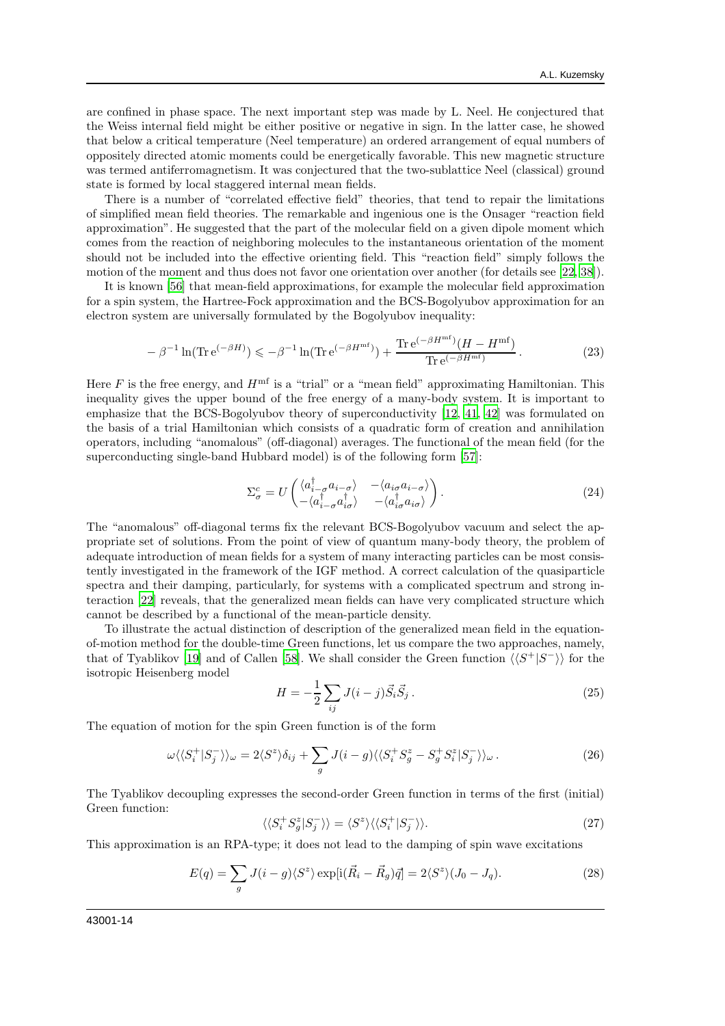are confined in phase space. The next important step was made by L. Neel. He conjectured that the Weiss internal field might be either positive or negative in sign. In the latter case, he showed that below a critical temperature (Neel temperature) an ordered arrangement of equal numbers of oppositely directed atomic moments could be energetically favorable. This new magnetic structure was termed antiferromagnetism. It was conjectured that the two-sublattice Neel (classical) ground state is formed by local staggered internal mean fields.

There is a number of "correlated effective field" theories, that tend to repair the limitations of simplified mean field theories. The remarkable and ingenious one is the Onsager "reaction field approximation". He suggested that the part of the molecular field on a given dipole moment which comes from the reaction of neighboring molecules to the instantaneous orientation of the moment should not be included into the effective orienting field. This "reaction field" simply follows the motion of the moment and thus does not favor one orientation over another (for details see [\[22](#page-18-12), [38\]](#page-18-17)).

It is known [\[56\]](#page-19-1) that mean-field approximations, for example the molecular field approximation for a spin system, the Hartree-Fock approximation and the BCS-Bogolyubov approximation for an electron system are universally formulated by the Bogolyubov inequality:

$$
-\beta^{-1}\ln(\operatorname{Tr}e^{(-\beta H)}) \leq -\beta^{-1}\ln(\operatorname{Tr}e^{(-\beta H^{\text{mf}})}) + \frac{\operatorname{Tr}e^{(-\beta H^{\text{mf}})}(H - H^{\text{mf}})}{\operatorname{Tr}e^{(-\beta H^{\text{mf}})}}.
$$
\n(23)

Here F is the free energy, and  $H^{\text{mf}}$  is a "trial" or a "mean field" approximating Hamiltonian. This inequality gives the upper bound of the free energy of a many-body system. It is important to emphasize that the BCS-Bogolyubov theory of superconductivity [\[12](#page-18-33), [41,](#page-18-19) [42](#page-18-20)] was formulated on the basis of a trial Hamiltonian which consists of a quadratic form of creation and annihilation operators, including "anomalous" (off-diagonal) averages. The functional of the mean field (for the superconducting single-band Hubbard model) is of the following form [\[57](#page-19-2)]:

<span id="page-13-1"></span>
$$
\Sigma_{\sigma}^{c} = U \begin{pmatrix} \langle a_{i-\sigma}^{\dagger} a_{i-\sigma} \rangle & -\langle a_{i\sigma} a_{i-\sigma} \rangle \\ -\langle a_{i-\sigma}^{\dagger} a_{i\sigma}^{\dagger} \rangle & -\langle a_{i\sigma}^{\dagger} a_{i\sigma} \rangle \end{pmatrix}.
$$
 (24)

The "anomalous" off-diagonal terms fix the relevant BCS-Bogolyubov vacuum and select the appropriate set of solutions. From the point of view of quantum many-body theory, the problem of adequate introduction of mean fields for a system of many interacting particles can be most consistently investigated in the framework of the IGF method. A correct calculation of the quasiparticle spectra and their damping, particularly, for systems with a complicated spectrum and strong interaction [\[22\]](#page-18-12) reveals, that the generalized mean fields can have very complicated structure which cannot be described by a functional of the mean-particle density.

To illustrate the actual distinction of description of the generalized mean field in the equationof-motion method for the double-time Green functions, let us compare the two approaches, namely, that of Tyablikov [\[19](#page-18-5)] and of Callen [\[58\]](#page-19-3). We shall consider the Green function  $\langle \langle S^+|S^-\rangle \rangle$  for the isotropic Heisenberg model

$$
H = -\frac{1}{2} \sum_{ij} J(i-j) \vec{S}_i \vec{S}_j .
$$
 (25)

The equation of motion for the spin Green function is of the form

$$
\omega \langle \langle S_i^+ | S_j^- \rangle \rangle_{\omega} = 2 \langle S^z \rangle \delta_{ij} + \sum_g J(i - g) \langle \langle S_i^+ S_g^z - S_g^+ S_i^z | S_j^- \rangle \rangle_{\omega} . \tag{26}
$$

The Tyablikov decoupling expresses the second-order Green function in terms of the first (initial) Green function:

<span id="page-13-0"></span>
$$
\langle \langle S_i^+ S_g^z | S_j^- \rangle \rangle = \langle S^z \rangle \langle \langle S_i^+ | S_j^- \rangle \rangle. \tag{27}
$$

This approximation is an RPA-type; it does not lead to the damping of spin wave excitations

$$
E(q) = \sum_{g} J(i - g) \langle S^z \rangle \exp[i(\vec{R}_i - \vec{R}_g)\vec{q}] = 2\langle S^z \rangle (J_0 - J_q). \tag{28}
$$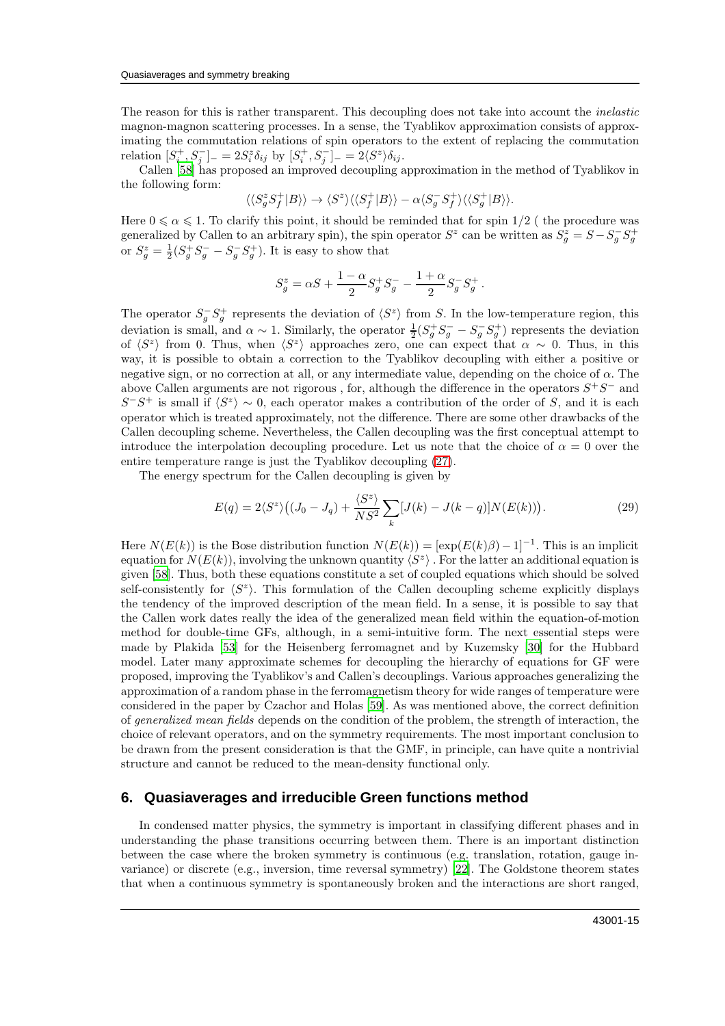The reason for this is rather transparent. This decoupling does not take into account the inelastic magnon-magnon scattering processes. In a sense, the Tyablikov approximation consists of approximating the commutation relations of spin operators to the extent of replacing the commutation relation  $[S_i^+, S_j^-]_-=2S_i^z \delta_{ij}$  by  $[S_i^+, S_j^-]_-=2\langle S^z \rangle \delta_{ij}$ .

Callen [\[58\]](#page-19-3) has proposed an improved decoupling approximation in the method of Tyablikov in the following form:

$$
\langle \langle S_g^z S_f^+|B\rangle \rangle \to \langle S^z\rangle \langle \langle S_f^+|B\rangle \rangle - \alpha \langle S_g^- S_f^+\rangle \langle \langle S_g^+|B\rangle \rangle.
$$

Here  $0 \le \alpha \le 1$ . To clarify this point, it should be reminded that for spin  $1/2$  (the procedure was generalized by Callen to an arbitrary spin), the spin operator  $S^z$  can be written as  $S_g^z = S - S_g^- S_g^+$ or  $S_g^z = \frac{1}{2}(S_g^+ S_g^- - S_g^- S_g^+)$ . It is easy to show that

$$
S_g^z = \alpha S + \frac{1-\alpha}{2} S_g^+ S_g^- - \frac{1+\alpha}{2} S_g^- S_g^+ \,.
$$

The operator  $S_g^- S_g^+$  represents the deviation of  $\langle S^z \rangle$  from S. In the low-temperature region, this deviation is small, and  $\alpha \sim 1$ . Similarly, the operator  $\frac{1}{2}(S_g^+S_g^- - S_g^-S_g^+)$  represents the deviation of  $\langle S^z \rangle$  from 0. Thus, when  $\langle S^z \rangle$  approaches zero, one can expect that  $\alpha \sim 0$ . Thus, in this way, it is possible to obtain a correction to the Tyablikov decoupling with either a positive or negative sign, or no correction at all, or any intermediate value, depending on the choice of  $\alpha$ . The above Callen arguments are not rigorous, for, although the difference in the operators  $S^+S^-$  and  $S^-S^+$  is small if  $\langle S^z \rangle \sim 0$ , each operator makes a contribution of the order of S, and it is each operator which is treated approximately, not the difference. There are some other drawbacks of the Callen decoupling scheme. Nevertheless, the Callen decoupling was the first conceptual attempt to introduce the interpolation decoupling procedure. Let us note that the choice of  $\alpha = 0$  over the entire temperature range is just the Tyablikov decoupling [\(27\)](#page-13-0).

The energy spectrum for the Callen decoupling is given by

$$
E(q) = 2\langle S^z \rangle ((J_0 - J_q) + \frac{\langle S^z \rangle}{NS^2} \sum_k [J(k) - J(k - q)] N(E(k))).
$$
 (29)

Here  $N(E(k))$  is the Bose distribution function  $N(E(k)) = [\exp(E(k)\beta) - 1]^{-1}$ . This is an implicit equation for  $N(E(k))$ , involving the unknown quantity  $\langle S^z \rangle$  . For the latter an additional equation is given [\[58\]](#page-19-3). Thus, both these equations constitute a set of coupled equations which should be solved self-consistently for  $\langle S^z \rangle$ . This formulation of the Callen decoupling scheme explicitly displays the tendency of the improved description of the mean field. In a sense, it is possible to say that the Callen work dates really the idea of the generalized mean field within the equation-of-motion method for double-time GFs, although, in a semi-intuitive form. The next essential steps were made by Plakida [\[53\]](#page-18-30) for the Heisenberg ferromagnet and by Kuzemsky [\[30](#page-18-15)] for the Hubbard model. Later many approximate schemes for decoupling the hierarchy of equations for GF were proposed, improving the Tyablikov's and Callen's decouplings. Various approaches generalizing the approximation of a random phase in the ferromagnetism theory for wide ranges of temperature were considered in the paper by Czachor and Holas [\[59\]](#page-19-4). As was mentioned above, the correct definition of generalized mean fields depends on the condition of the problem, the strength of interaction, the choice of relevant operators, and on the symmetry requirements. The most important conclusion to be drawn from the present consideration is that the GMF, in principle, can have quite a nontrivial structure and cannot be reduced to the mean-density functional only.

#### **6. Quasiaverages and irreducible Green functions method**

In condensed matter physics, the symmetry is important in classifying different phases and in understanding the phase transitions occurring between them. There is an important distinction between the case where the broken symmetry is continuous (e.g. translation, rotation, gauge invariance) or discrete (e.g., inversion, time reversal symmetry) [\[22\]](#page-18-12). The Goldstone theorem states that when a continuous symmetry is spontaneously broken and the interactions are short ranged,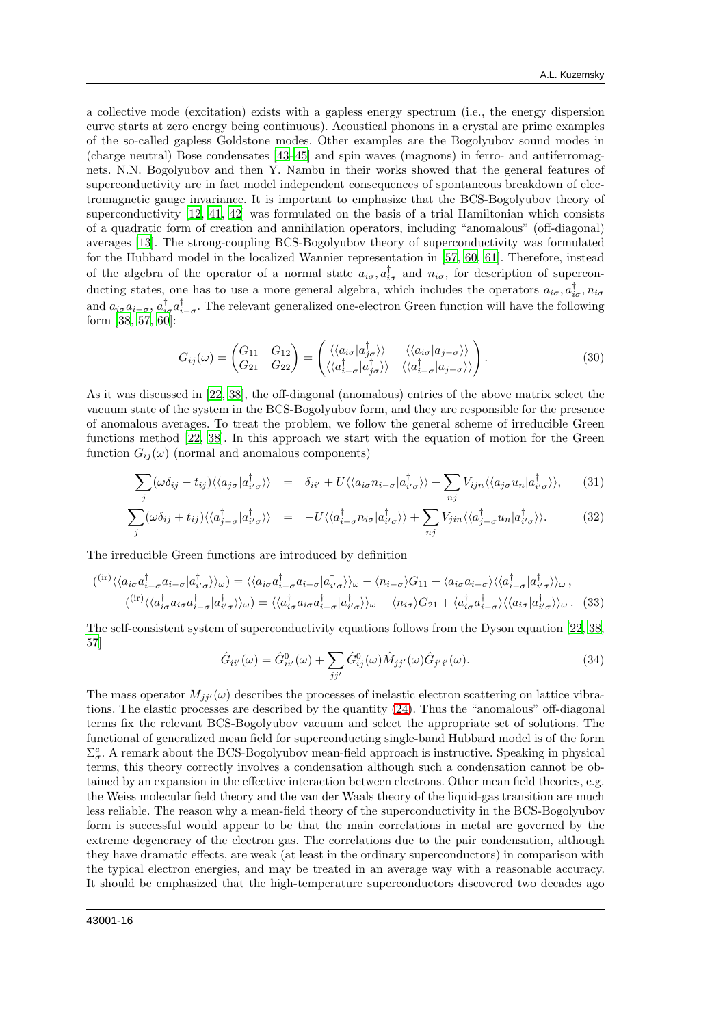a collective mode (excitation) exists with a gapless energy spectrum (i.e., the energy dispersion curve starts at zero energy being continuous). Acoustical phonons in a crystal are prime examples of the so-called gapless Goldstone modes. Other examples are the Bogolyubov sound modes in (charge neutral) Bose condensates [\[43](#page-18-21)[–45](#page-18-22)] and spin waves (magnons) in ferro- and antiferromagnets. N.N. Bogolyubov and then Y. Nambu in their works showed that the general features of superconductivity are in fact model independent consequences of spontaneous breakdown of electromagnetic gauge invariance. It is important to emphasize that the BCS-Bogolyubov theory of superconductivity [\[12,](#page-18-33) [41,](#page-18-19) [42](#page-18-20)] was formulated on the basis of a trial Hamiltonian which consists of a quadratic form of creation and annihilation operators, including "anomalous" (off-diagonal) averages [\[13\]](#page-18-2). The strong-coupling BCS-Bogolyubov theory of superconductivity was formulated for the Hubbard model in the localized Wannier representation in [\[57](#page-19-2), [60,](#page-19-5) [61\]](#page-19-6). Therefore, instead of the algebra of the operator of a normal state  $a_{i\sigma}, a_{i\sigma}^{\dagger}$  and  $n_{i\sigma}$ , for description of superconducting states, one has to use a more general algebra, which includes the operators  $a_{i\sigma}$ ,  $a_{i\sigma}^{\dagger}$ ,  $n_{i\sigma}$ and  $a_{i\sigma}a_{i-\sigma}$ ,  $a_{i\sigma}^{\dagger}a_{i-\sigma}^{\dagger}$ . The relevant generalized one-electron Green function will have the following form [\[38](#page-18-17), [57](#page-19-2), [60](#page-19-5)]:

$$
G_{ij}(\omega) = \begin{pmatrix} G_{11} & G_{12} \\ G_{21} & G_{22} \end{pmatrix} = \begin{pmatrix} \langle \langle a_{i\sigma} | a_{j\sigma}^{\dagger} \rangle \rangle & \langle \langle a_{i\sigma} | a_{j-\sigma} \rangle \rangle \\ \langle \langle a_{i-\sigma}^{\dagger} | a_{j\sigma}^{\dagger} \rangle \rangle & \langle \langle a_{i-\sigma}^{\dagger} | a_{j-\sigma} \rangle \rangle \end{pmatrix}.
$$
 (30)

As it was discussed in [\[22,](#page-18-12) [38\]](#page-18-17), the off-diagonal (anomalous) entries of the above matrix select the vacuum state of the system in the BCS-Bogolyubov form, and they are responsible for the presence of anomalous averages. To treat the problem, we follow the general scheme of irreducible Green functions method [\[22](#page-18-12), [38\]](#page-18-17). In this approach we start with the equation of motion for the Green function  $G_{ij}(\omega)$  (normal and anomalous components)

$$
\sum_{j} (\omega \delta_{ij} - t_{ij}) \langle \langle a_{j\sigma} | a_{i'\sigma}^{\dagger} \rangle \rangle = \delta_{ii'} + U \langle \langle a_{i\sigma} n_{i-\sigma} | a_{i'\sigma}^{\dagger} \rangle \rangle + \sum_{nj} V_{ijn} \langle \langle a_{j\sigma} u_n | a_{i'\sigma}^{\dagger} \rangle \rangle, \qquad (31)
$$

$$
\sum_{j} (\omega \delta_{ij} + t_{ij}) \langle \langle a_{j-\sigma}^{\dagger} | a_{i^{\prime}\sigma}^{\dagger} \rangle \rangle = -U \langle \langle a_{i-\sigma}^{\dagger} n_{i\sigma} | a_{i^{\prime}\sigma}^{\dagger} \rangle \rangle + \sum_{nj} V_{jin} \langle \langle a_{j-\sigma}^{\dagger} u_n | a_{i^{\prime}\sigma}^{\dagger} \rangle \rangle. \tag{32}
$$

The irreducible Green functions are introduced by definition

$$
\langle (\mathrm{ir}) \langle \langle a_{i\sigma} a_{i-\sigma}^{\dagger} a_{i-\sigma} | a_{i^{\prime}\sigma}^{\dagger} \rangle \rangle_{\omega} \rangle = \langle \langle a_{i\sigma} a_{i-\sigma}^{\dagger} | a_{i^{\prime}\sigma}^{\dagger} \rangle \rangle_{\omega} - \langle n_{i-\sigma} \rangle G_{11} + \langle a_{i\sigma} a_{i-\sigma} \rangle \langle \langle a_{i-\sigma}^{\dagger} | a_{i^{\prime}\sigma}^{\dagger} \rangle \rangle_{\omega} ,
$$

$$
\langle (\mathrm{ir}) \langle \langle a_{i\sigma}^{\dagger} a_{i\sigma} a_{i-\sigma}^{\dagger} | a_{i^{\prime}\sigma}^{\dagger} \rangle \rangle_{\omega} \rangle = \langle \langle a_{i\sigma}^{\dagger} a_{i\sigma} a_{i-\sigma}^{\dagger} | a_{i^{\prime}\sigma}^{\dagger} \rangle \rangle_{\omega} - \langle n_{i\sigma} \rangle G_{21} + \langle a_{i\sigma}^{\dagger} a_{i-\sigma}^{\dagger} \rangle \langle \langle a_{i\sigma} | a_{i^{\prime}\sigma}^{\dagger} \rangle \rangle_{\omega} . \tag{33}
$$

The self-consistent system of superconductivity equations follows from the Dyson equation [\[22,](#page-18-12) [38](#page-18-17), [57\]](#page-19-2)

$$
\hat{G}_{ii'}(\omega) = \hat{G}_{ii'}^0(\omega) + \sum_{jj'} \hat{G}_{ij}^0(\omega) \hat{M}_{jj'}(\omega) \hat{G}_{j'i'}(\omega).
$$
\n(34)

The mass operator  $M_{jj'}(\omega)$  describes the processes of inelastic electron scattering on lattice vibrations. The elastic processes are described by the quantity [\(24\)](#page-13-1). Thus the "anomalous" off-diagonal terms fix the relevant BCS-Bogolyubov vacuum and select the appropriate set of solutions. The functional of generalized mean field for superconducting single-band Hubbard model is of the form  $\Sigma^c_{\sigma}$ . A remark about the BCS-Bogolyubov mean-field approach is instructive. Speaking in physical terms, this theory correctly involves a condensation although such a condensation cannot be obtained by an expansion in the effective interaction between electrons. Other mean field theories, e.g. the Weiss molecular field theory and the van der Waals theory of the liquid-gas transition are much less reliable. The reason why a mean-field theory of the superconductivity in the BCS-Bogolyubov form is successful would appear to be that the main correlations in metal are governed by the extreme degeneracy of the electron gas. The correlations due to the pair condensation, although they have dramatic effects, are weak (at least in the ordinary superconductors) in comparison with the typical electron energies, and may be treated in an average way with a reasonable accuracy. It should be emphasized that the high-temperature superconductors discovered two decades ago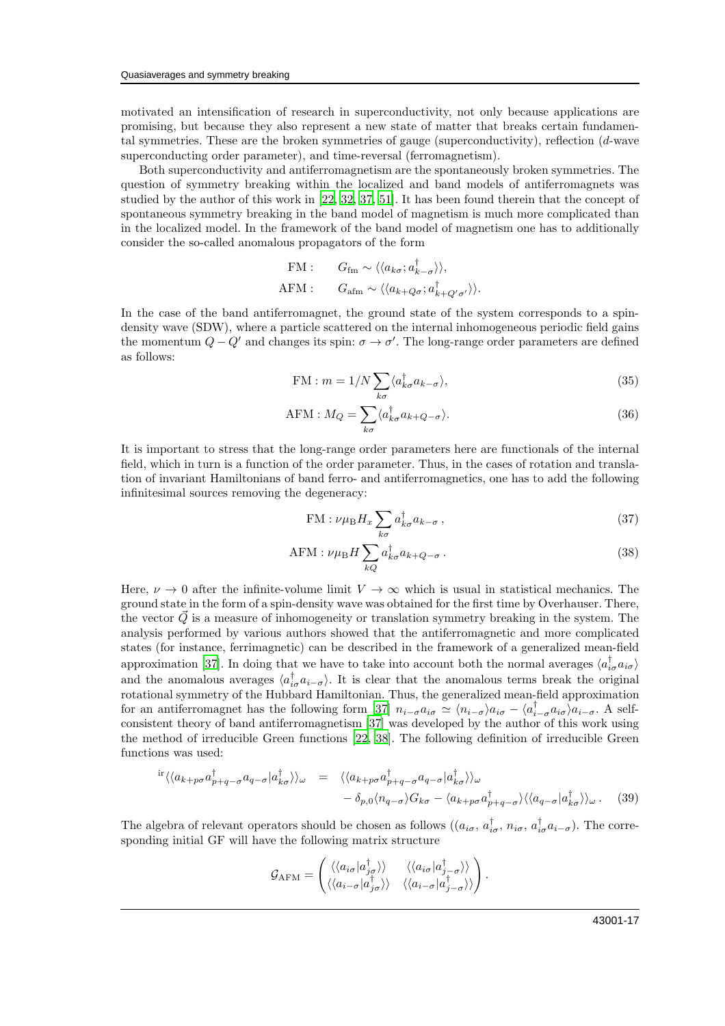motivated an intensification of research in superconductivity, not only because applications are promising, but because they also represent a new state of matter that breaks certain fundamental symmetries. These are the broken symmetries of gauge (superconductivity), reflection (d-wave superconducting order parameter), and time-reversal (ferromagnetism).

Both superconductivity and antiferromagnetism are the spontaneously broken symmetries. The question of symmetry breaking within the localized and band models of antiferromagnets was studied by the author of this work in [\[22](#page-18-12), [32,](#page-18-34) [37,](#page-18-35) [51](#page-18-28)]. It has been found therein that the concept of spontaneous symmetry breaking in the band model of magnetism is much more complicated than in the localized model. In the framework of the band model of magnetism one has to additionally consider the so-called anomalous propagators of the form

$$
\text{FM}: \tG_{\text{fm}} \sim \langle \langle a_{k\sigma}; a_{k-\sigma}^{\dagger} \rangle \rangle,
$$
  

$$
\text{AFM}: \tG_{\text{afm}} \sim \langle \langle a_{k+Q\sigma}; a_{k+Q'\sigma'}^{\dagger} \rangle \rangle.
$$

In the case of the band antiferromagnet, the ground state of the system corresponds to a spindensity wave (SDW), where a particle scattered on the internal inhomogeneous periodic field gains the momentum  $Q - Q'$  and changes its spin:  $\sigma \to \sigma'$ . The long-range order parameters are defined as follows:

$$
FM : m = 1/N \sum_{k\sigma} \langle a_{k\sigma}^{\dagger} a_{k-\sigma} \rangle,
$$
\n(35)

AFM : 
$$
M_Q = \sum_{k\sigma} \langle a_{k\sigma}^\dagger a_{k+Q-\sigma} \rangle
$$
. (36)

It is important to stress that the long-range order parameters here are functionals of the internal field, which in turn is a function of the order parameter. Thus, in the cases of rotation and translation of invariant Hamiltonians of band ferro- and antiferromagnetics, one has to add the following infinitesimal sources removing the degeneracy:

$$
\text{FM}: \nu\mu_{\text{B}}H_x \sum_{k\sigma} a_{k\sigma}^{\dagger} a_{k-\sigma}, \qquad (37)
$$

AFM : 
$$
\nu \mu_B H \sum_{kQ} a_{k\sigma}^\dagger a_{k+Q-\sigma}
$$
. (38)

Here,  $\nu \to 0$  after the infinite-volume limit  $V \to \infty$  which is usual in statistical mechanics. The ground state in the form of a spin-density wave was obtained for the first time by Overhauser. There, the vector  $\vec{Q}$  is a measure of inhomogeneity or translation symmetry breaking in the system. The analysis performed by various authors showed that the antiferromagnetic and more complicated states (for instance, ferrimagnetic) can be described in the framework of a generalized mean-field approximation [\[37](#page-18-35)]. In doing that we have to take into account both the normal averages  $\langle a_{i\sigma}^\dagger a_{i\sigma} \rangle$ and the anomalous averages  $\langle a_{i\sigma}^{\dagger} a_{i-\sigma} \rangle$ . It is clear that the anomalous terms break the original rotational symmetry of the Hubbard Hamiltonian. Thus, the generalized mean-field approximation for an antiferromagnet has the following form [\[37](#page-18-35)]  $n_{i-\sigma}a_{i\sigma} \simeq \langle n_{i-\sigma} \rangle a_{i\sigma} - \langle a_{i-\sigma}^{\dagger} a_{i\sigma} \rangle a_{i-\sigma}$ . A selfconsistent theory of band antiferromagnetism [\[37\]](#page-18-35) was developed by the author of this work using the method of irreducible Green functions [\[22,](#page-18-12) [38\]](#page-18-17). The following definition of irreducible Green functions was used:

$$
\langle \langle a_{k+p\sigma} a_{p+q-\sigma}^{\dagger} a_{q-\sigma} | a_{k\sigma}^{\dagger} \rangle \rangle_{\omega} = \langle \langle a_{k+p\sigma} a_{p+q-\sigma}^{\dagger} a_{q-\sigma} | a_{k\sigma}^{\dagger} \rangle \rangle_{\omega} \n- \delta_{p,0} \langle n_{q-\sigma} \rangle G_{k\sigma} - \langle a_{k+p\sigma} a_{p+q-\sigma}^{\dagger} \rangle \langle \langle a_{q-\sigma} | a_{k\sigma}^{\dagger} \rangle \rangle_{\omega} . \quad (39)
$$

The algebra of relevant operators should be chosen as follows  $((a_{i\sigma}, a_{i\sigma}^\dagger, n_{i\sigma}, a_{i\sigma}^\dagger, a_{i-\sigma})$ . The corresponding initial GF will have the following matrix structure

$$
\mathcal{G}_{\text{AFM}} = \begin{pmatrix} \langle \langle a_{i\sigma} | a_{j\sigma}^{\dagger} \rangle \rangle & \langle \langle a_{i\sigma} | a_{j-\sigma}^{\dagger} \rangle \rangle \\ \langle \langle a_{i-\sigma} | a_{j\sigma}^{\dagger} \rangle \rangle & \langle \langle a_{i-\sigma} | a_{j-\sigma}^{\dagger} \rangle \rangle \end{pmatrix}.
$$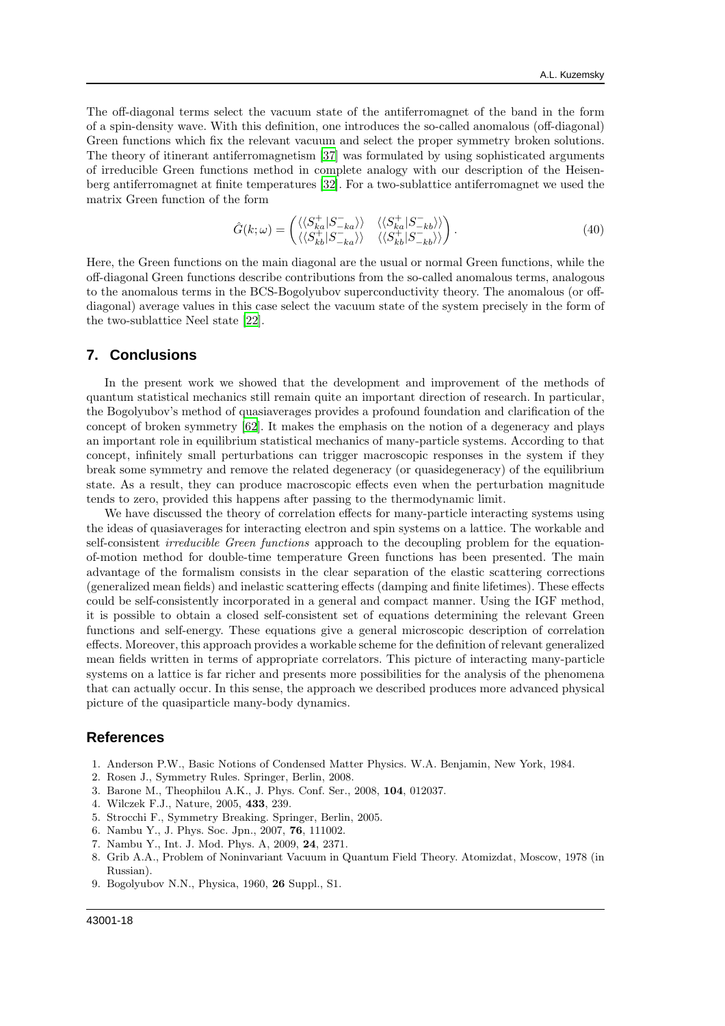The off-diagonal terms select the vacuum state of the antiferromagnet of the band in the form of a spin-density wave. With this definition, one introduces the so-called anomalous (off-diagonal) Green functions which fix the relevant vacuum and select the proper symmetry broken solutions. The theory of itinerant antiferromagnetism [\[37](#page-18-35)] was formulated by using sophisticated arguments of irreducible Green functions method in complete analogy with our description of the Heisenberg antiferromagnet at finite temperatures [\[32](#page-18-34)]. For a two-sublattice antiferromagnet we used the matrix Green function of the form

$$
\hat{G}(k;\omega) = \begin{pmatrix} \langle \langle S_{ka}^{+} | S_{-ka}^{-} \rangle \rangle & \langle \langle S_{ka}^{+} | S_{-kb}^{-} \rangle \rangle \\ \langle \langle S_{kb}^{+} | S_{-ka}^{-} \rangle \rangle & \langle \langle S_{kb}^{+} | S_{-kb}^{-} \rangle \rangle \end{pmatrix} . \tag{40}
$$

Here, the Green functions on the main diagonal are the usual or normal Green functions, while the off-diagonal Green functions describe contributions from the so-called anomalous terms, analogous to the anomalous terms in the BCS-Bogolyubov superconductivity theory. The anomalous (or offdiagonal) average values in this case select the vacuum state of the system precisely in the form of the two-sublattice Neel state [\[22\]](#page-18-12).

#### **7. Conclusions**

In the present work we showed that the development and improvement of the methods of quantum statistical mechanics still remain quite an important direction of research. In particular, the Bogolyubov's method of quasiaverages provides a profound foundation and clarification of the concept of broken symmetry [\[62](#page-19-7)]. It makes the emphasis on the notion of a degeneracy and plays an important role in equilibrium statistical mechanics of many-particle systems. According to that concept, infinitely small perturbations can trigger macroscopic responses in the system if they break some symmetry and remove the related degeneracy (or quasidegeneracy) of the equilibrium state. As a result, they can produce macroscopic effects even when the perturbation magnitude tends to zero, provided this happens after passing to the thermodynamic limit.

We have discussed the theory of correlation effects for many-particle interacting systems using the ideas of quasiaverages for interacting electron and spin systems on a lattice. The workable and self-consistent irreducible Green functions approach to the decoupling problem for the equationof-motion method for double-time temperature Green functions has been presented. The main advantage of the formalism consists in the clear separation of the elastic scattering corrections (generalized mean fields) and inelastic scattering effects (damping and finite lifetimes). These effects could be self-consistently incorporated in a general and compact manner. Using the IGF method, it is possible to obtain a closed self-consistent set of equations determining the relevant Green functions and self-energy. These equations give a general microscopic description of correlation effects. Moreover, this approach provides a workable scheme for the definition of relevant generalized mean fields written in terms of appropriate correlators. This picture of interacting many-particle systems on a lattice is far richer and presents more possibilities for the analysis of the phenomena that can actually occur. In this sense, the approach we described produces more advanced physical picture of the quasiparticle many-body dynamics.

#### <span id="page-17-0"></span>**References**

- <span id="page-17-1"></span>1. Anderson P.W., Basic Notions of Condensed Matter Physics. W.A. Benjamin, New York, 1984.
- <span id="page-17-2"></span>2. Rosen J., Symmetry Rules. Springer, Berlin, 2008.
- <span id="page-17-3"></span>3. Barone M., Theophilou A.K., J. Phys. Conf. Ser., 2008, 104, 012037.
- <span id="page-17-4"></span>4. Wilczek F.J., Nature, 2005, 433, 239.
- <span id="page-17-5"></span>5. Strocchi F., Symmetry Breaking. Springer, Berlin, 2005.
- <span id="page-17-6"></span>6. Nambu Y., J. Phys. Soc. Jpn., 2007, 76, 111002.
- <span id="page-17-7"></span>7. Nambu Y., Int. J. Mod. Phys. A, 2009, 24, 2371.
- <span id="page-17-8"></span>8. Grib A.A., Problem of Noninvariant Vacuum in Quantum Field Theory. Atomizdat, Moscow, 1978 (in Russian).
- <span id="page-17-9"></span>9. Bogolyubov N.N., Physica, 1960, 26 Suppl., S1.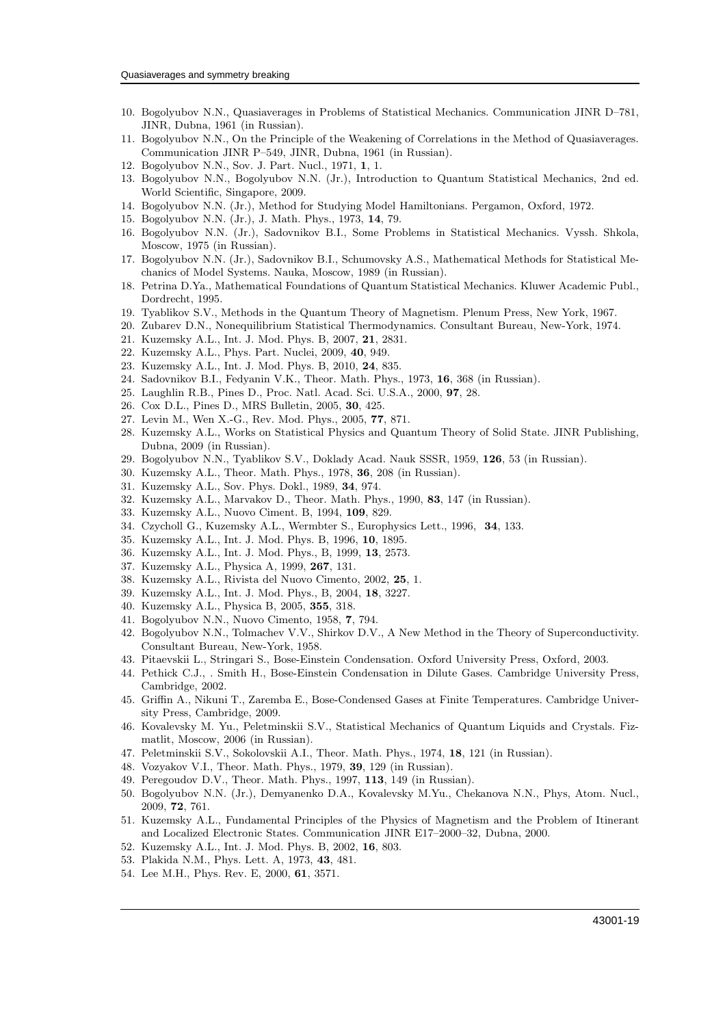- <span id="page-18-1"></span>10. Bogolyubov N.N., Quasiaverages in Problems of Statistical Mechanics. Communication JINR D–781, JINR, Dubna, 1961 (in Russian).
- <span id="page-18-18"></span>11. Bogolyubov N.N., On the Principle of the Weakening of Correlations in the Method of Quasiaverages. Communication JINR P–549, JINR, Dubna, 1961 (in Russian).
- <span id="page-18-33"></span>12. Bogolyubov N.N., Sov. J. Part. Nucl., 1971, 1, 1.
- <span id="page-18-2"></span>13. Bogolyubov N.N., Bogolyubov N.N. (Jr.), Introduction to Quantum Statistical Mechanics, 2nd ed. World Scientific, Singapore, 2009.
- 14. Bogolyubov N.N. (Jr.), Method for Studying Model Hamiltonians. Pergamon, Oxford, 1972.
- <span id="page-18-3"></span>15. Bogolyubov N.N. (Jr.), J. Math. Phys., 1973, 14, 79.
- <span id="page-18-4"></span>16. Bogolyubov N.N. (Jr.), Sadovnikov B.I., Some Problems in Statistical Mechanics. Vyssh. Shkola, Moscow, 1975 (in Russian).
- 17. Bogolyubov N.N. (Jr.), Sadovnikov B.I., Schumovsky A.S., Mathematical Methods for Statistical Mechanics of Model Systems. Nauka, Moscow, 1989 (in Russian).
- <span id="page-18-0"></span>18. Petrina D.Ya., Mathematical Foundations of Quantum Statistical Mechanics. Kluwer Academic Publ., Dordrecht, 1995.
- <span id="page-18-5"></span>19. Tyablikov S.V., Methods in the Quantum Theory of Magnetism. Plenum Press, New York, 1967.
- <span id="page-18-6"></span>20. Zubarev D.N., Nonequilibrium Statistical Thermodynamics. Consultant Bureau, New-York, 1974.
- 21. Kuzemsky A.L., Int. J. Mod. Phys. B, 2007, 21, 2831.
- <span id="page-18-12"></span>22. Kuzemsky A.L., Phys. Part. Nuclei, 2009, 40, 949.
- <span id="page-18-7"></span>23. Kuzemsky A.L., Int. J. Mod. Phys. B, 2010, 24, 835.
- <span id="page-18-8"></span>24. Sadovnikov B.I., Fedyanin V.K., Theor. Math. Phys., 1973, 16, 368 (in Russian).
- <span id="page-18-9"></span>25. Laughlin R.B., Pines D., Proc. Natl. Acad. Sci. U.S.A., 2000, 97, 28.
- <span id="page-18-10"></span>26. Cox D.L., Pines D., MRS Bulletin, 2005, 30, 425.
- <span id="page-18-11"></span>27. Levin M., Wen X.-G., Rev. Mod. Phys., 2005, 77, 871.
- <span id="page-18-13"></span>28. Kuzemsky A.L., Works on Statistical Physics and Quantum Theory of Solid State. JINR Publishing, Dubna, 2009 (in Russian).
- <span id="page-18-14"></span>29. Bogolyubov N.N., Tyablikov S.V., Doklady Acad. Nauk SSSR, 1959, 126, 53 (in Russian).
- <span id="page-18-15"></span>30. Kuzemsky A.L., Theor. Math. Phys., 1978, 36, 208 (in Russian).
- <span id="page-18-31"></span>31. Kuzemsky A.L., Sov. Phys. Dokl., 1989, 34, 974.
- <span id="page-18-34"></span>32. Kuzemsky A.L., Marvakov D., Theor. Math. Phys., 1990, 83, 147 (in Russian).
- 33. Kuzemsky A.L., Nuovo Ciment. B, 1994, 109, 829.
- 34. Czycholl G., Kuzemsky A.L., Wermbter S., Europhysics Lett., 1996, 34, 133.
- 35. Kuzemsky A.L., Int. J. Mod. Phys. B, 1996, 10, 1895.
- 36. Kuzemsky A.L., Int. J. Mod. Phys., B, 1999, 13, 2573.
- <span id="page-18-35"></span>37. Kuzemsky A.L., Physica A, 1999, 267, 131.
- <span id="page-18-17"></span>38. Kuzemsky A.L., Rivista del Nuovo Cimento, 2002, 25, 1.
- 39. Kuzemsky A.L., Int. J. Mod. Phys., B, 2004, 18, 3227.
- <span id="page-18-16"></span>40. Kuzemsky A.L., Physica B, 2005, 355, 318.
- <span id="page-18-19"></span>41. Bogolyubov N.N., Nuovo Cimento, 1958, 7, 794.
- <span id="page-18-20"></span>42. Bogolyubov N.N., Tolmachev V.V., Shirkov D.V., A New Method in the Theory of Superconductivity. Consultant Bureau, New-York, 1958.
- <span id="page-18-21"></span>43. Pitaevskii L., Stringari S., Bose-Einstein Condensation. Oxford University Press, Oxford, 2003.
- 44. Pethick C.J., . Smith H., Bose-Einstein Condensation in Dilute Gases. Cambridge University Press, Cambridge, 2002.
- <span id="page-18-22"></span>45. Griffin A., Nikuni T., Zaremba E., Bose-Condensed Gases at Finite Temperatures. Cambridge University Press, Cambridge, 2009.
- <span id="page-18-23"></span>46. Kovalevsky M. Yu., Peletminskii S.V., Statistical Mechanics of Quantum Liquids and Crystals. Fizmatlit, Moscow, 2006 (in Russian).
- <span id="page-18-24"></span>47. Peletminskii S.V., Sokolovskii A.I., Theor. Math. Phys., 1974, 18, 121 (in Russian).
- <span id="page-18-25"></span>48. Vozyakov V.I., Theor. Math. Phys., 1979, 39, 129 (in Russian).
- <span id="page-18-26"></span>49. Peregoudov D.V., Theor. Math. Phys., 1997, 113, 149 (in Russian).
- <span id="page-18-27"></span>50. Bogolyubov N.N. (Jr.), Demyanenko D.A., Kovalevsky M.Yu., Chekanova N.N., Phys, Atom. Nucl., 2009, 72, 761.
- <span id="page-18-28"></span>51. Kuzemsky A.L., Fundamental Principles of the Physics of Magnetism and the Problem of Itinerant and Localized Electronic States. Communication JINR E17–2000–32, Dubna, 2000.
- <span id="page-18-29"></span>52. Kuzemsky A.L., Int. J. Mod. Phys. B, 2002, 16, 803.
- <span id="page-18-30"></span>53. Plakida N.M., Phys. Lett. A, 1973, 43, 481.
- <span id="page-18-32"></span>54. Lee M.H., Phys. Rev. E, 2000, 61, 3571.